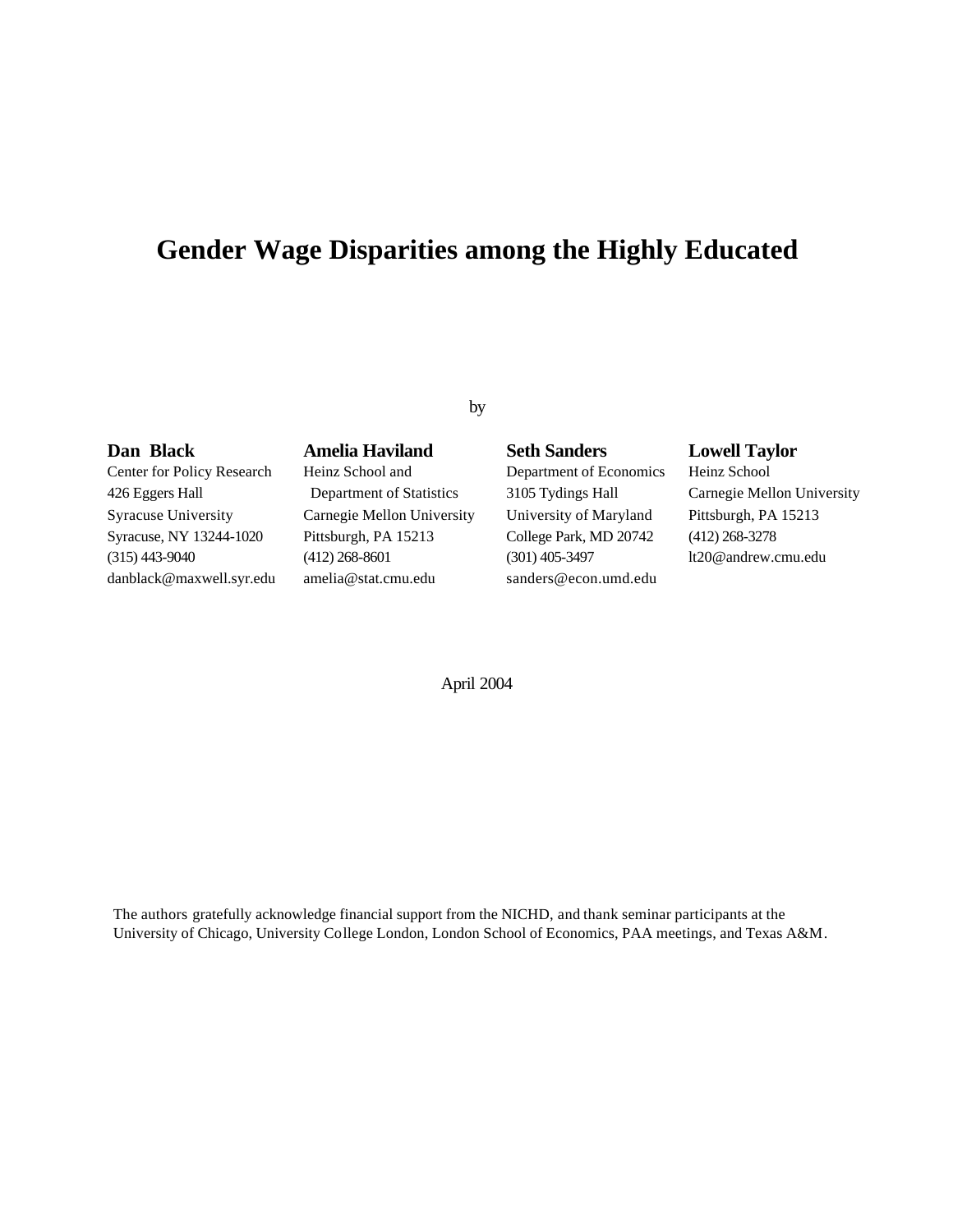# **Gender Wage Disparities among the Highly Educated**

by

426 Eggers Hall Department of Statistics 3105 Tydings Hall Carnegie Mellon University Syracuse University Carnegie Mellon University University of Maryland Pittsburgh, PA 15213 Syracuse, NY 13244-1020 Pittsburgh, PA 15213 College Park, MD 20742 (412) 268-3278 (315) 443-9040 (412) 268-8601 (301) 405-3497 lt20@andrew.cmu.edu

# **Dan Black Amelia Haviland Seth Sanders Lowell Taylor** Center for Policy Research Heinz School and Department of Economics Heinz School danblack@maxwell.syr.edu amelia@stat.cmu.edu sanders@econ.umd.edu

#### April 2004

The authors gratefully acknowledge financial support from the NICHD, and thank seminar participants at the University of Chicago, University College London, London School of Economics, PAA meetings, and Texas A&M.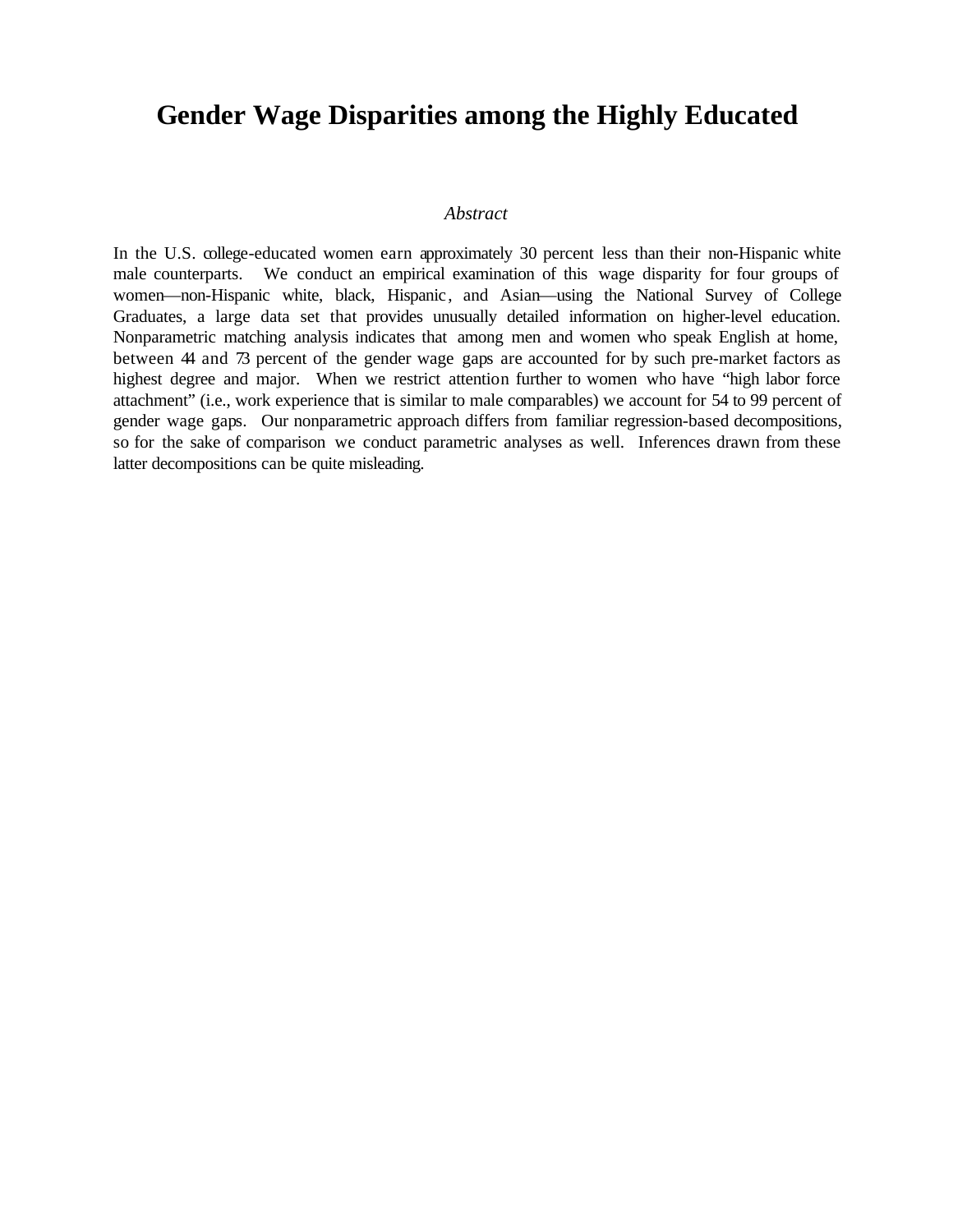## **Gender Wage Disparities among the Highly Educated**

#### *Abstract*

In the U.S. college-educated women earn approximately 30 percent less than their non-Hispanic white male counterparts. We conduct an empirical examination of this wage disparity for four groups of women—non-Hispanic white, black, Hispanic, and Asian—using the National Survey of College Graduates, a large data set that provides unusually detailed information on higher-level education. Nonparametric matching analysis indicates that among men and women who speak English at home, between 44 and 73 percent of the gender wage gaps are accounted for by such pre-market factors as highest degree and major. When we restrict attention further to women who have "high labor force attachment" (i.e., work experience that is similar to male comparables) we account for 54 to 99 percent of gender wage gaps. Our nonparametric approach differs from familiar regression-based decompositions, so for the sake of comparison we conduct parametric analyses as well. Inferences drawn from these latter decompositions can be quite misleading.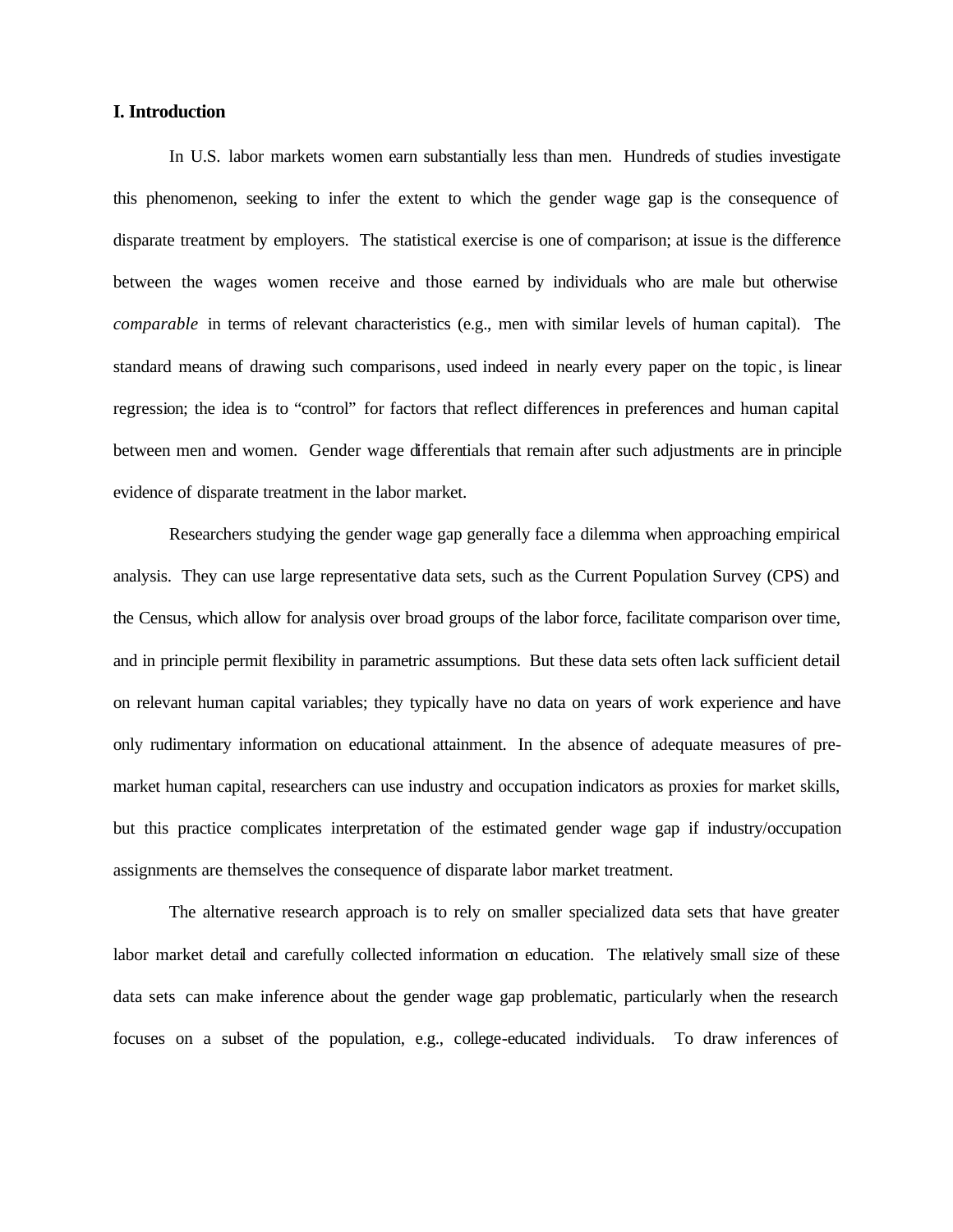#### **I. Introduction**

In U.S. labor markets women earn substantially less than men. Hundreds of studies investigate this phenomenon, seeking to infer the extent to which the gender wage gap is the consequence of disparate treatment by employers. The statistical exercise is one of comparison; at issue is the difference between the wages women receive and those earned by individuals who are male but otherwise *comparable* in terms of relevant characteristics (e.g., men with similar levels of human capital). The standard means of drawing such comparisons, used indeed in nearly every paper on the topic , is linear regression; the idea is to "control" for factors that reflect differences in preferences and human capital between men and women. Gender wage differentials that remain after such adjustments are in principle evidence of disparate treatment in the labor market.

Researchers studying the gender wage gap generally face a dilemma when approaching empirical analysis. They can use large representative data sets, such as the Current Population Survey (CPS) and the Census, which allow for analysis over broad groups of the labor force, facilitate comparison over time, and in principle permit flexibility in parametric assumptions. But these data sets often lack sufficient detail on relevant human capital variables; they typically have no data on years of work experience and have only rudimentary information on educational attainment. In the absence of adequate measures of premarket human capital, researchers can use industry and occupation indicators as proxies for market skills, but this practice complicates interpretation of the estimated gender wage gap if industry/occupation assignments are themselves the consequence of disparate labor market treatment.

The alternative research approach is to rely on smaller specialized data sets that have greater labor market detail and carefully collected information on education. The relatively small size of these data sets can make inference about the gender wage gap problematic, particularly when the research focuses on a subset of the population, e.g., college-educated individuals. To draw inferences of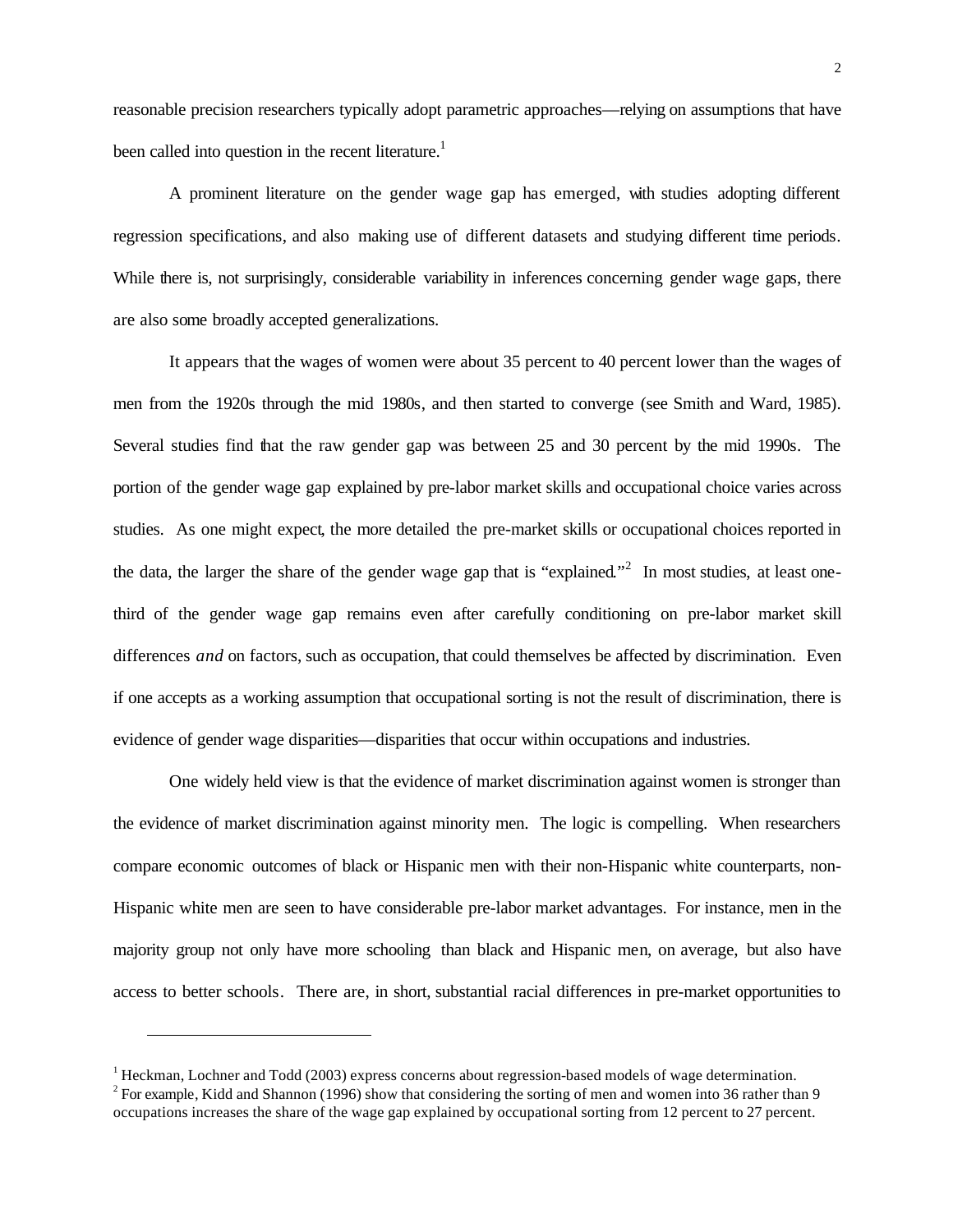reasonable precision researchers typically adopt parametric approaches—relying on assumptions that have been called into question in the recent literature.<sup>1</sup>

A prominent literature on the gender wage gap has emerged, with studies adopting different regression specifications, and also making use of different datasets and studying different time periods. While there is, not surprisingly, considerable variability in inferences concerning gender wage gaps, there are also some broadly accepted generalizations.

It appears that the wages of women were about 35 percent to 40 percent lower than the wages of men from the 1920s through the mid 1980s, and then started to converge (see Smith and Ward, 1985). Several studies find that the raw gender gap was between 25 and 30 percent by the mid 1990s. The portion of the gender wage gap explained by pre-labor market skills and occupational choice varies across studies. As one might expect, the more detailed the pre-market skills or occupational choices reported in the data, the larger the share of the gender wage gap that is "explained."<sup>2</sup> In most studies, at least onethird of the gender wage gap remains even after carefully conditioning on pre-labor market skill differences *and* on factors, such as occupation, that could themselves be affected by discrimination. Even if one accepts as a working assumption that occupational sorting is not the result of discrimination, there is evidence of gender wage disparities—disparities that occur within occupations and industries.

One widely held view is that the evidence of market discrimination against women is stronger than the evidence of market discrimination against minority men. The logic is compelling. When researchers compare economic outcomes of black or Hispanic men with their non-Hispanic white counterparts, non-Hispanic white men are seen to have considerable pre-labor market advantages. For instance, men in the majority group not only have more schooling than black and Hispanic men, on average, but also have access to better schools. There are, in short, substantial racial differences in pre-market opportunities to

 $1$  Heckman, Lochner and Todd (2003) express concerns about regression-based models of wage determination. <sup>2</sup> For example, Kidd and Shannon (1996) show that considering the sorting of men and women into 36 rather than 9 occupations increases the share of the wage gap explained by occupational sorting from 12 percent to 27 percent.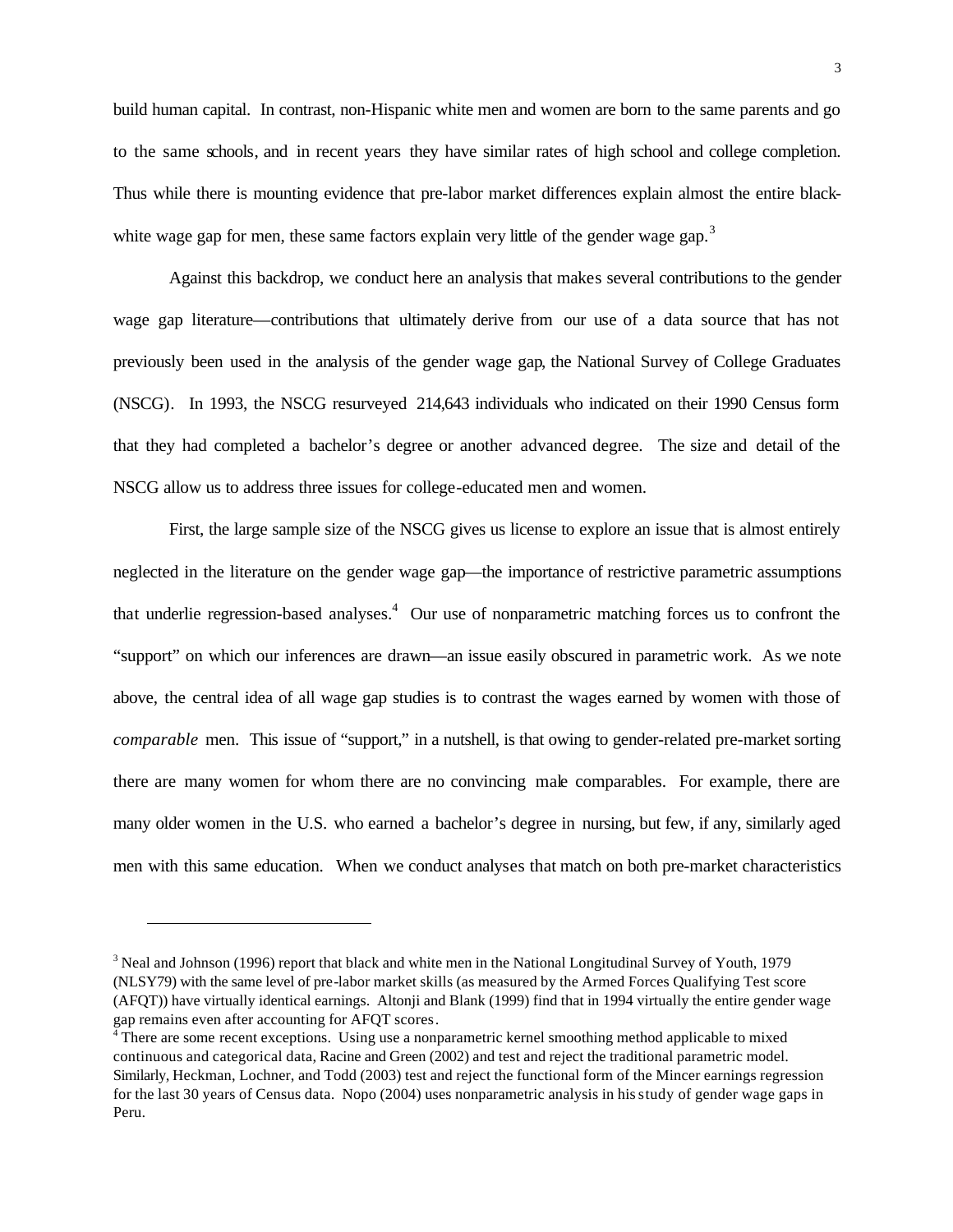build human capital. In contrast, non-Hispanic white men and women are born to the same parents and go to the same schools, and in recent years they have similar rates of high school and college completion. Thus while there is mounting evidence that pre-labor market differences explain almost the entire blackwhite wage gap for men, these same factors explain very little of the gender wage gap.<sup>3</sup>

Against this backdrop, we conduct here an analysis that makes several contributions to the gender wage gap literature—contributions that ultimately derive from our use of a data source that has not previously been used in the analysis of the gender wage gap, the National Survey of College Graduates (NSCG). In 1993, the NSCG resurveyed 214,643 individuals who indicated on their 1990 Census form that they had completed a bachelor's degree or another advanced degree. The size and detail of the NSCG allow us to address three issues for college-educated men and women.

First, the large sample size of the NSCG gives us license to explore an issue that is almost entirely neglected in the literature on the gender wage gap—the importance of restrictive parametric assumptions that underlie regression-based analyses.<sup>4</sup> Our use of nonparametric matching forces us to confront the "support" on which our inferences are drawn—an issue easily obscured in parametric work. As we note above, the central idea of all wage gap studies is to contrast the wages earned by women with those of *comparable* men. This issue of "support," in a nutshell, is that owing to gender-related pre-market sorting there are many women for whom there are no convincing male comparables. For example, there are many older women in the U.S. who earned a bachelor's degree in nursing, but few, if any, similarly aged men with this same education. When we conduct analyses that match on both pre-market characteristics

<sup>&</sup>lt;sup>3</sup> Neal and Johnson (1996) report that black and white men in the National Longitudinal Survey of Youth, 1979 (NLSY79) with the same level of pre-labor market skills (as measured by the Armed Forces Qualifying Test score (AFQT)) have virtually identical earnings. Altonji and Blank (1999) find that in 1994 virtually the entire gender wage gap remains even after accounting for AFQT scores.

<sup>&</sup>lt;sup>4</sup> There are some recent exceptions. Using use a nonparametric kernel smoothing method applicable to mixed continuous and categorical data, Racine and Green (2002) and test and reject the traditional parametric model. Similarly, Heckman, Lochner, and Todd (2003) test and reject the functional form of the Mincer earnings regression for the last 30 years of Census data. Nopo (2004) uses nonparametric analysis in his study of gender wage gaps in Peru.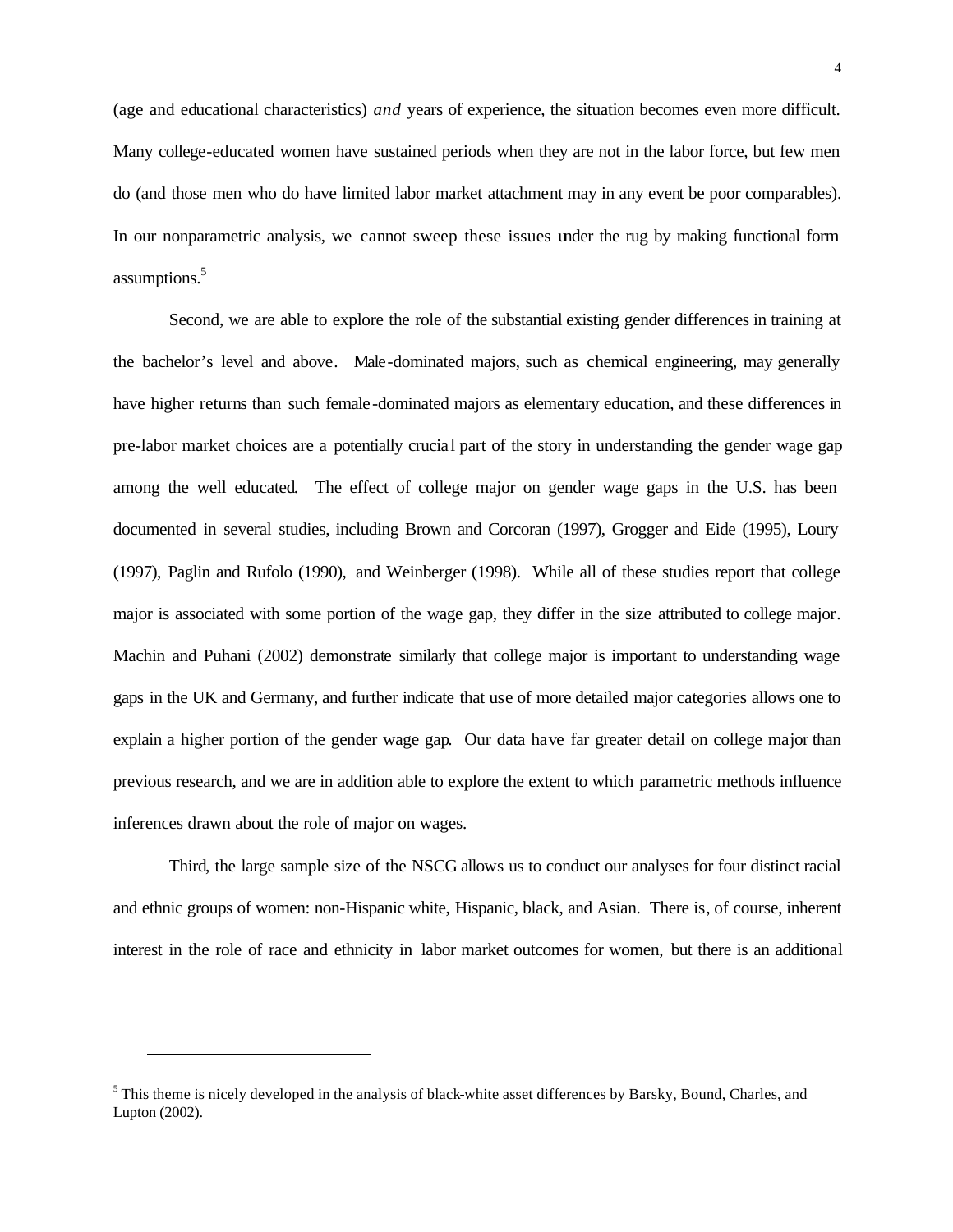(age and educational characteristics) *and* years of experience, the situation becomes even more difficult. Many college-educated women have sustained periods when they are not in the labor force, but few men do (and those men who do have limited labor market attachment may in any event be poor comparables). In our nonparametric analysis, we cannot sweep these issues under the rug by making functional form assumptions.<sup>5</sup>

Second, we are able to explore the role of the substantial existing gender differences in training at the bachelor's level and above. Male-dominated majors, such as chemical engineering, may generally have higher returns than such female-dominated majors as elementary education, and these differences in pre-labor market choices are a potentially crucial part of the story in understanding the gender wage gap among the well educated. The effect of college major on gender wage gaps in the U.S. has been documented in several studies, including Brown and Corcoran (1997), Grogger and Eide (1995), Loury (1997), Paglin and Rufolo (1990), and Weinberger (1998). While all of these studies report that college major is associated with some portion of the wage gap, they differ in the size attributed to college major. Machin and Puhani (2002) demonstrate similarly that college major is important to understanding wage gaps in the UK and Germany, and further indicate that use of more detailed major categories allows one to explain a higher portion of the gender wage gap. Our data have far greater detail on college major than previous research, and we are in addition able to explore the extent to which parametric methods influence inferences drawn about the role of major on wages.

Third, the large sample size of the NSCG allows us to conduct our analyses for four distinct racial and ethnic groups of women: non-Hispanic white, Hispanic, black, and Asian. There is, of course, inherent interest in the role of race and ethnicity in labor market outcomes for women, but there is an additional

<sup>&</sup>lt;sup>5</sup> This theme is nicely developed in the analysis of black-white asset differences by Barsky, Bound, Charles, and Lupton (2002).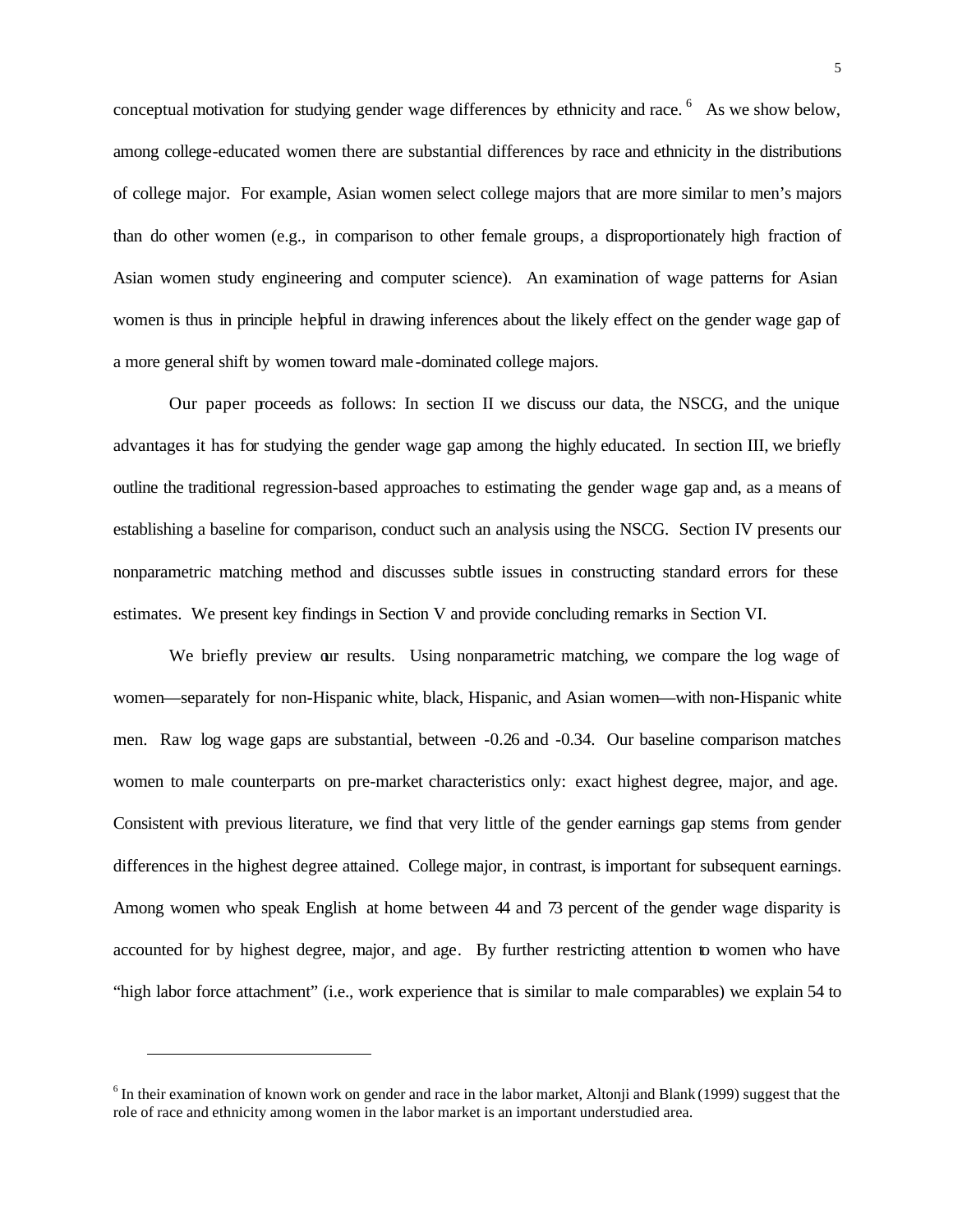conceptual motivation for studying gender wage differences by ethnicity and race. <sup>6</sup> As we show below, among college-educated women there are substantial differences by race and ethnicity in the distributions of college major. For example, Asian women select college majors that are more similar to men's majors than do other women (e.g., in comparison to other female groups, a disproportionately high fraction of Asian women study engineering and computer science). An examination of wage patterns for Asian women is thus in principle helpful in drawing inferences about the likely effect on the gender wage gap of a more general shift by women toward male -dominated college majors.

Our paper proceeds as follows: In section II we discuss our data, the NSCG, and the unique advantages it has for studying the gender wage gap among the highly educated. In section III, we briefly outline the traditional regression-based approaches to estimating the gender wage gap and, as a means of establishing a baseline for comparison, conduct such an analysis using the NSCG. Section IV presents our nonparametric matching method and discusses subtle issues in constructing standard errors for these estimates. We present key findings in Section V and provide concluding remarks in Section VI.

We briefly preview our results. Using nonparametric matching, we compare the log wage of women—separately for non-Hispanic white, black, Hispanic, and Asian women—with non-Hispanic white men. Raw log wage gaps are substantial, between -0.26 and -0.34. Our baseline comparison matches women to male counterparts on pre-market characteristics only: exact highest degree, major, and age. Consistent with previous literature, we find that very little of the gender earnings gap stems from gender differences in the highest degree attained. College major, in contrast, is important for subsequent earnings. Among women who speak English at home between 44 and 73 percent of the gender wage disparity is accounted for by highest degree, major, and age. By further restricting attention to women who have "high labor force attachment" (i.e., work experience that is similar to male comparables) we explain 54 to

 $6$  In their examination of known work on gender and race in the labor market, Altonji and Blank (1999) suggest that the role of race and ethnicity among women in the labor market is an important understudied area.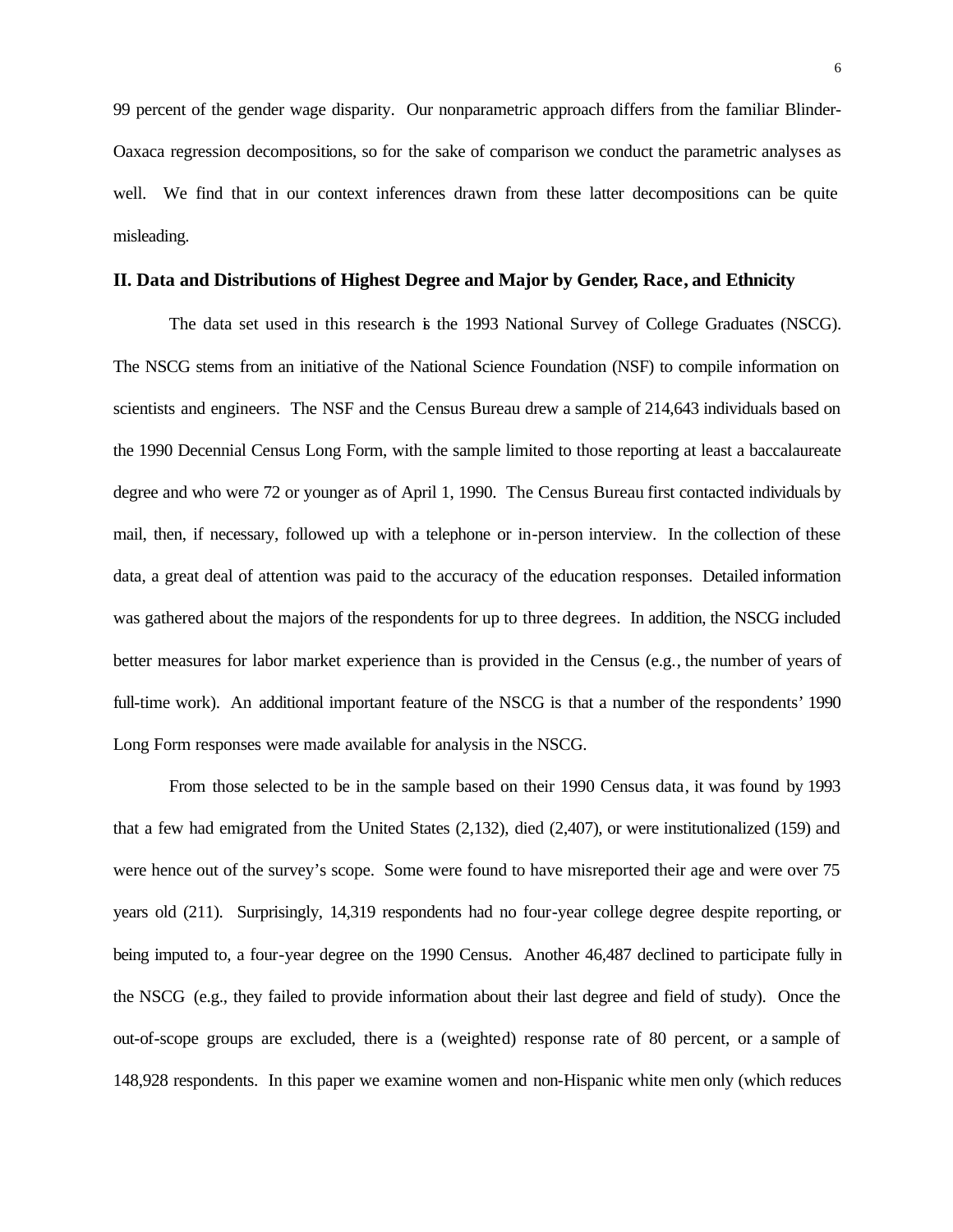99 percent of the gender wage disparity. Our nonparametric approach differs from the familiar Blinder-Oaxaca regression decompositions, so for the sake of comparison we conduct the parametric analyses as well. We find that in our context inferences drawn from these latter decompositions can be quite misleading.

#### **II. Data and Distributions of Highest Degree and Major by Gender, Race, and Ethnicity**

The data set used in this research is the 1993 National Survey of College Graduates (NSCG). The NSCG stems from an initiative of the National Science Foundation (NSF) to compile information on scientists and engineers. The NSF and the Census Bureau drew a sample of 214,643 individuals based on the 1990 Decennial Census Long Form, with the sample limited to those reporting at least a baccalaureate degree and who were 72 or younger as of April 1, 1990. The Census Bureau first contacted individuals by mail, then, if necessary, followed up with a telephone or in-person interview. In the collection of these data, a great deal of attention was paid to the accuracy of the education responses. Detailed information was gathered about the majors of the respondents for up to three degrees. In addition, the NSCG included better measures for labor market experience than is provided in the Census (e.g., the number of years of full-time work). An additional important feature of the NSCG is that a number of the respondents' 1990 Long Form responses were made available for analysis in the NSCG.

From those selected to be in the sample based on their 1990 Census data, it was found by 1993 that a few had emigrated from the United States (2,132), died (2,407), or were institutionalized (159) and were hence out of the survey's scope. Some were found to have misreported their age and were over 75 years old (211). Surprisingly, 14,319 respondents had no four-year college degree despite reporting, or being imputed to, a four-year degree on the 1990 Census. Another 46,487 declined to participate fully in the NSCG (e.g., they failed to provide information about their last degree and field of study). Once the out-of-scope groups are excluded, there is a (weighted) response rate of 80 percent, or a sample of 148,928 respondents. In this paper we examine women and non-Hispanic white men only (which reduces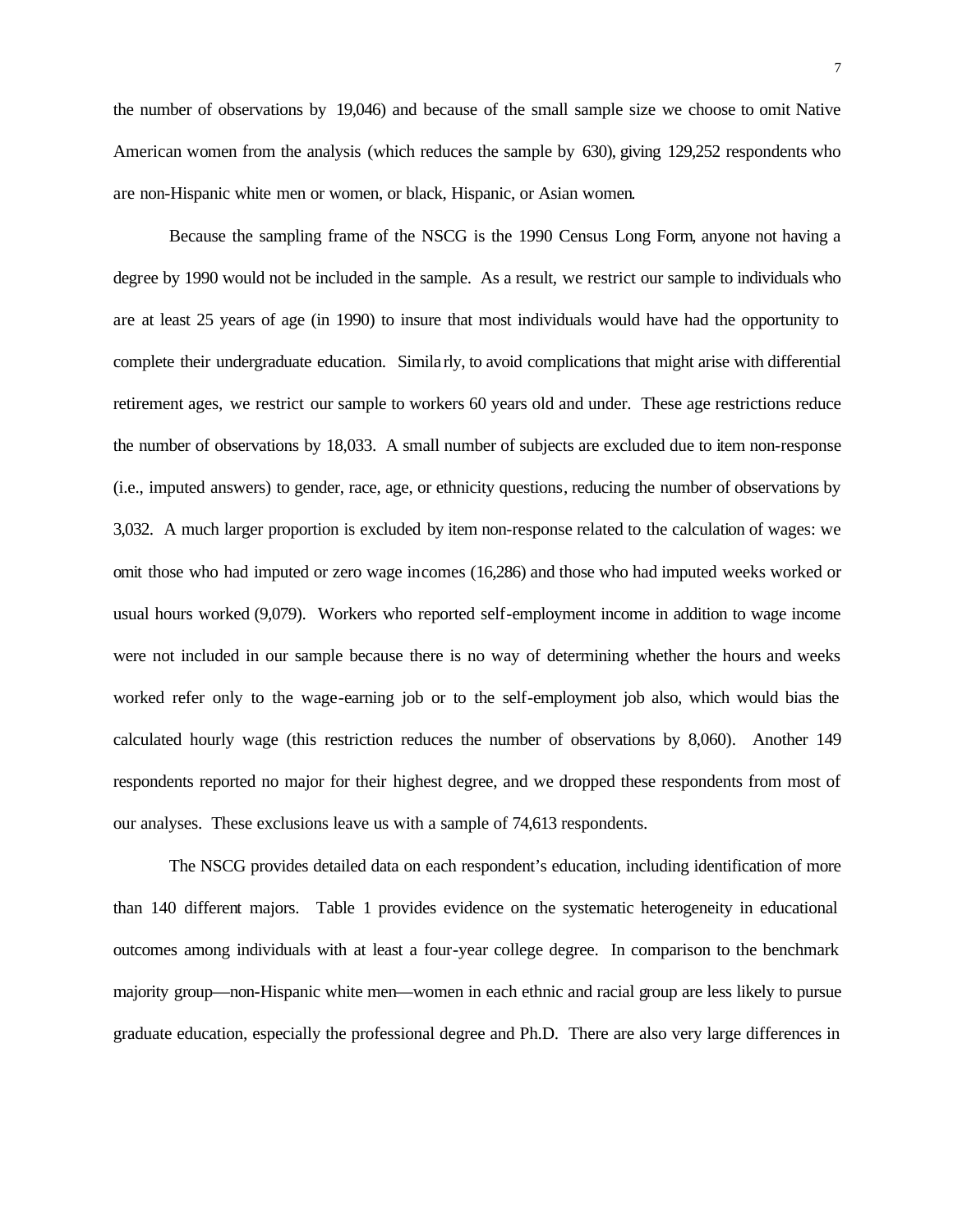the number of observations by 19,046) and because of the small sample size we choose to omit Native American women from the analysis (which reduces the sample by 630), giving 129,252 respondents who

Because the sampling frame of the NSCG is the 1990 Census Long Form, anyone not having a degree by 1990 would not be included in the sample. As a result, we restrict our sample to individuals who are at least 25 years of age (in 1990) to insure that most individuals would have had the opportunity to complete their undergraduate education. Simila rly, to avoid complications that might arise with differential retirement ages, we restrict our sample to workers 60 years old and under. These age restrictions reduce the number of observations by 18,033. A small number of subjects are excluded due to item non-response (i.e., imputed answers) to gender, race, age, or ethnicity questions, reducing the number of observations by 3,032. A much larger proportion is excluded by item non-response related to the calculation of wages: we omit those who had imputed or zero wage incomes (16,286) and those who had imputed weeks worked or usual hours worked (9,079). Workers who reported self-employment income in addition to wage income were not included in our sample because there is no way of determining whether the hours and weeks worked refer only to the wage-earning job or to the self-employment job also, which would bias the calculated hourly wage (this restriction reduces the number of observations by 8,060). Another 149 respondents reported no major for their highest degree, and we dropped these respondents from most of our analyses. These exclusions leave us with a sample of 74,613 respondents.

are non-Hispanic white men or women, or black, Hispanic, or Asian women.

The NSCG provides detailed data on each respondent's education, including identification of more than 140 different majors. Table 1 provides evidence on the systematic heterogeneity in educational outcomes among individuals with at least a four-year college degree. In comparison to the benchmark majority group—non-Hispanic white men—women in each ethnic and racial group are less likely to pursue graduate education, especially the professional degree and Ph.D. There are also very large differences in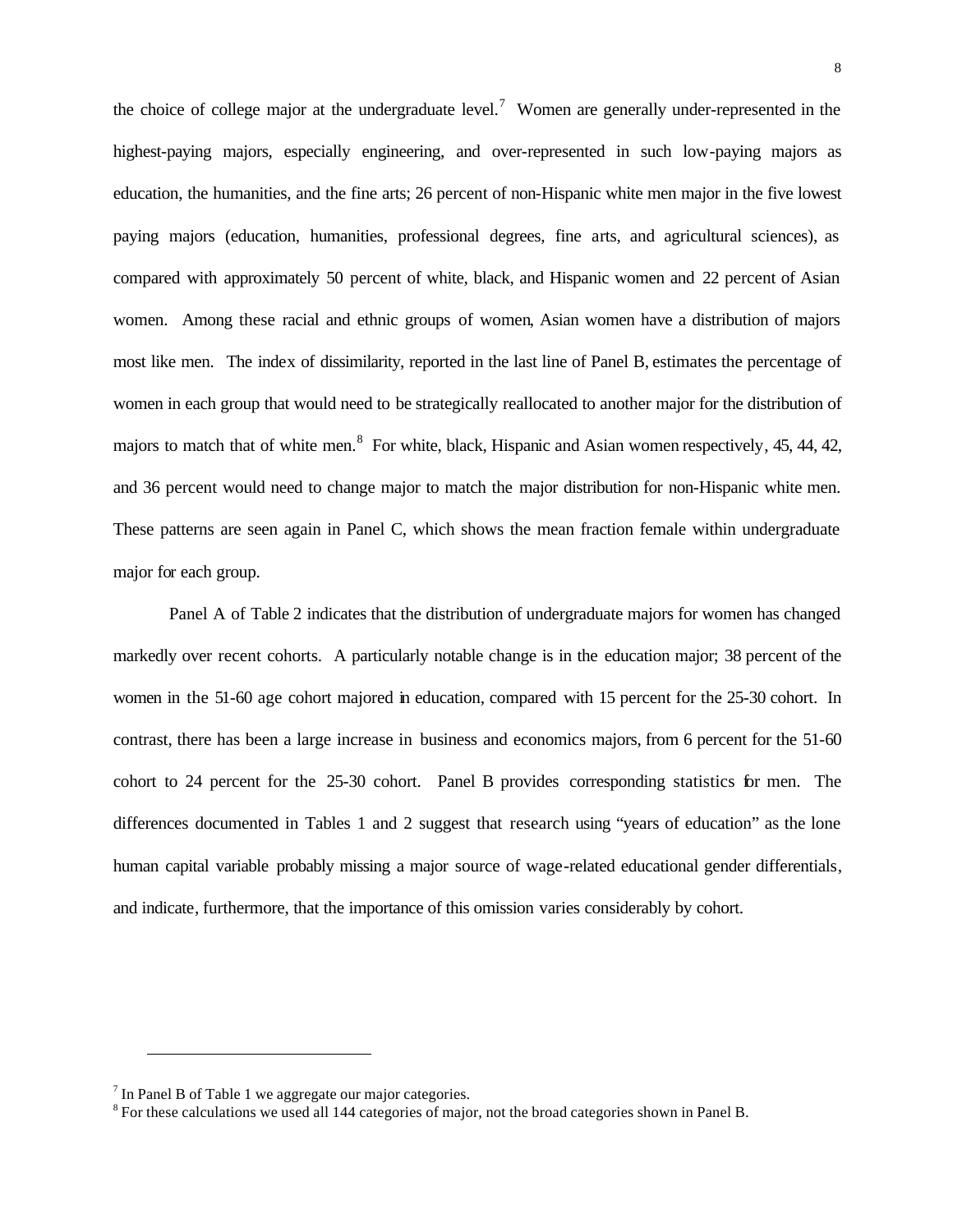the choice of college major at the undergraduate level.<sup>7</sup> Women are generally under-represented in the highest-paying majors, especially engineering, and over-represented in such low-paying majors as education, the humanities, and the fine arts; 26 percent of non-Hispanic white men major in the five lowest paying majors (education, humanities, professional degrees, fine arts, and agricultural sciences), as compared with approximately 50 percent of white, black, and Hispanic women and 22 percent of Asian women. Among these racial and ethnic groups of women, Asian women have a distribution of majors most like men. The index of dissimilarity, reported in the last line of Panel B, estimates the percentage of women in each group that would need to be strategically reallocated to another major for the distribution of majors to match that of white men.<sup>8</sup> For white, black, Hispanic and Asian women respectively, 45, 44, 42, and 36 percent would need to change major to match the major distribution for non-Hispanic white men. These patterns are seen again in Panel C, which shows the mean fraction female within undergraduate major for each group.

Panel A of Table 2 indicates that the distribution of undergraduate majors for women has changed markedly over recent cohorts. A particularly notable change is in the education major; 38 percent of the women in the 51-60 age cohort majored in education, compared with 15 percent for the 25-30 cohort. In contrast, there has been a large increase in business and economics majors, from 6 percent for the 51-60 cohort to 24 percent for the 25-30 cohort. Panel B provides corresponding statistics for men. The differences documented in Tables 1 and 2 suggest that research using "years of education" as the lone human capital variable probably missing a major source of wage-related educational gender differentials, and indicate, furthermore, that the importance of this omission varies considerably by cohort.

 $7$  In Panel B of Table 1 we aggregate our major categories.

 $8$  For these calculations we used all 144 categories of major, not the broad categories shown in Panel B.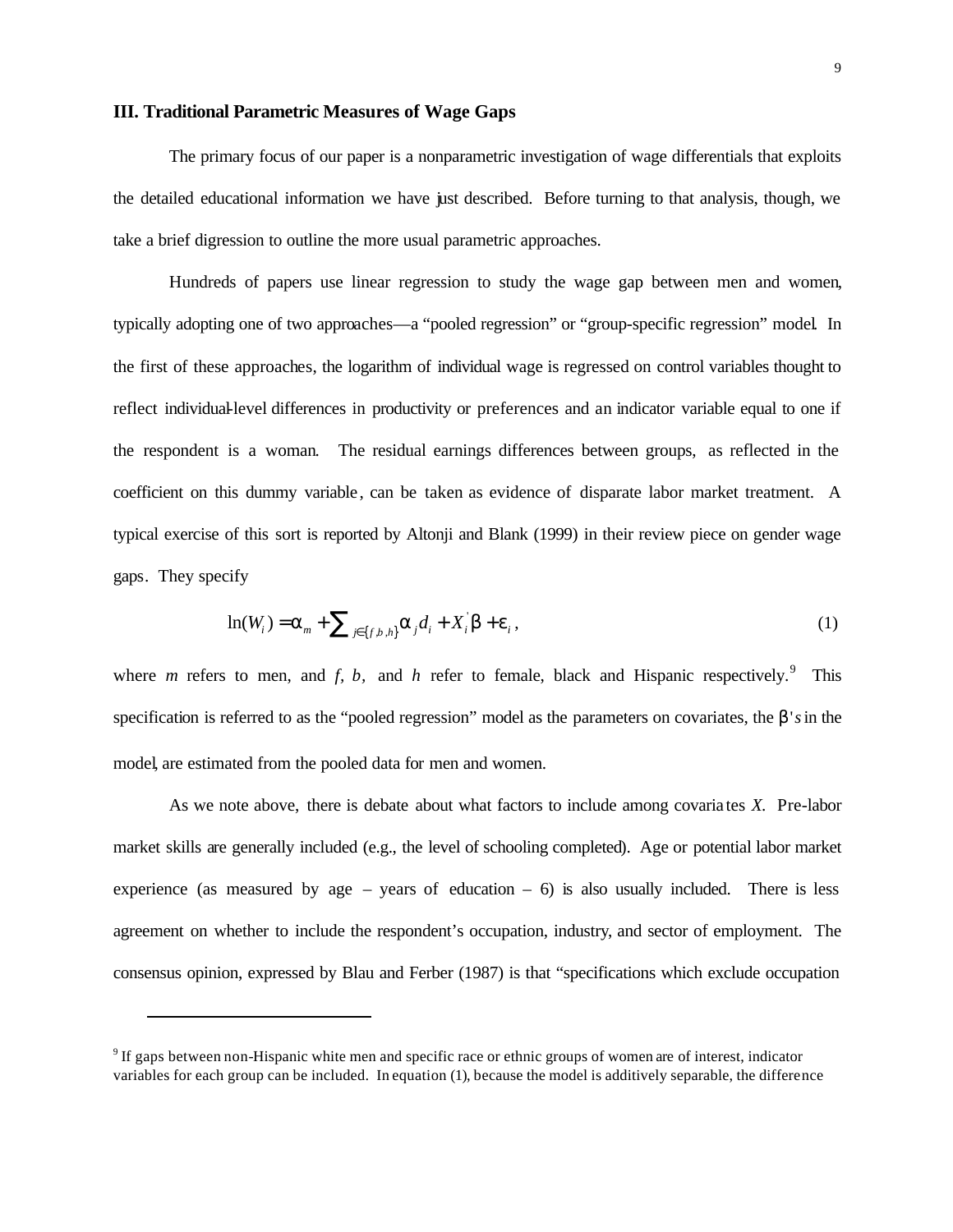#### **III. Traditional Parametric Measures of Wage Gaps**

The primary focus of our paper is a nonparametric investigation of wage differentials that exploits the detailed educational information we have just described. Before turning to that analysis, though, we take a brief digression to outline the more usual parametric approaches.

Hundreds of papers use linear regression to study the wage gap between men and women, typically adopting one of two approaches—a "pooled regression" or "group-specific regression" model. In the first of these approaches, the logarithm of individual wage is regressed on control variables thought to reflect individual-level differences in productivity or preferences and an indicator variable equal to one if the respondent is a woman. The residual earnings differences between groups, as reflected in the coefficient on this dummy variable, can be taken as evidence of disparate labor market treatment. A typical exercise of this sort is reported by Altonji and Blank (1999) in their review piece on gender wage gaps. They specify

$$
\ln(W_i) = \mathbf{a}_m + \sum_{j \in \{f, b, h\}} \mathbf{a}_j d_i + X_i \mathbf{b} + \mathbf{e}_i,
$$
\n(1)

where *m* refers to men, and *f, b,* and *h* refer to female, black and Hispanic respectively.<sup>9</sup> This specification is referred to as the "pooled regression" model as the parameters on covariates, the *b*'*s*in the model, are estimated from the pooled data for men and women.

As we note above, there is debate about what factors to include among covaria tes *X.* Pre-labor market skills are generally included (e.g., the level of schooling completed). Age or potential labor market experience (as measured by age – years of education – 6) is also usually included. There is less agreement on whether to include the respondent's occupation, industry, and sector of employment. The consensus opinion, expressed by Blau and Ferber (1987) is that "specifications which exclude occupation

<sup>&</sup>lt;sup>9</sup> If gaps between non-Hispanic white men and specific race or ethnic groups of women are of interest, indicator variables for each group can be included. In equation (1), because the model is additively separable, the difference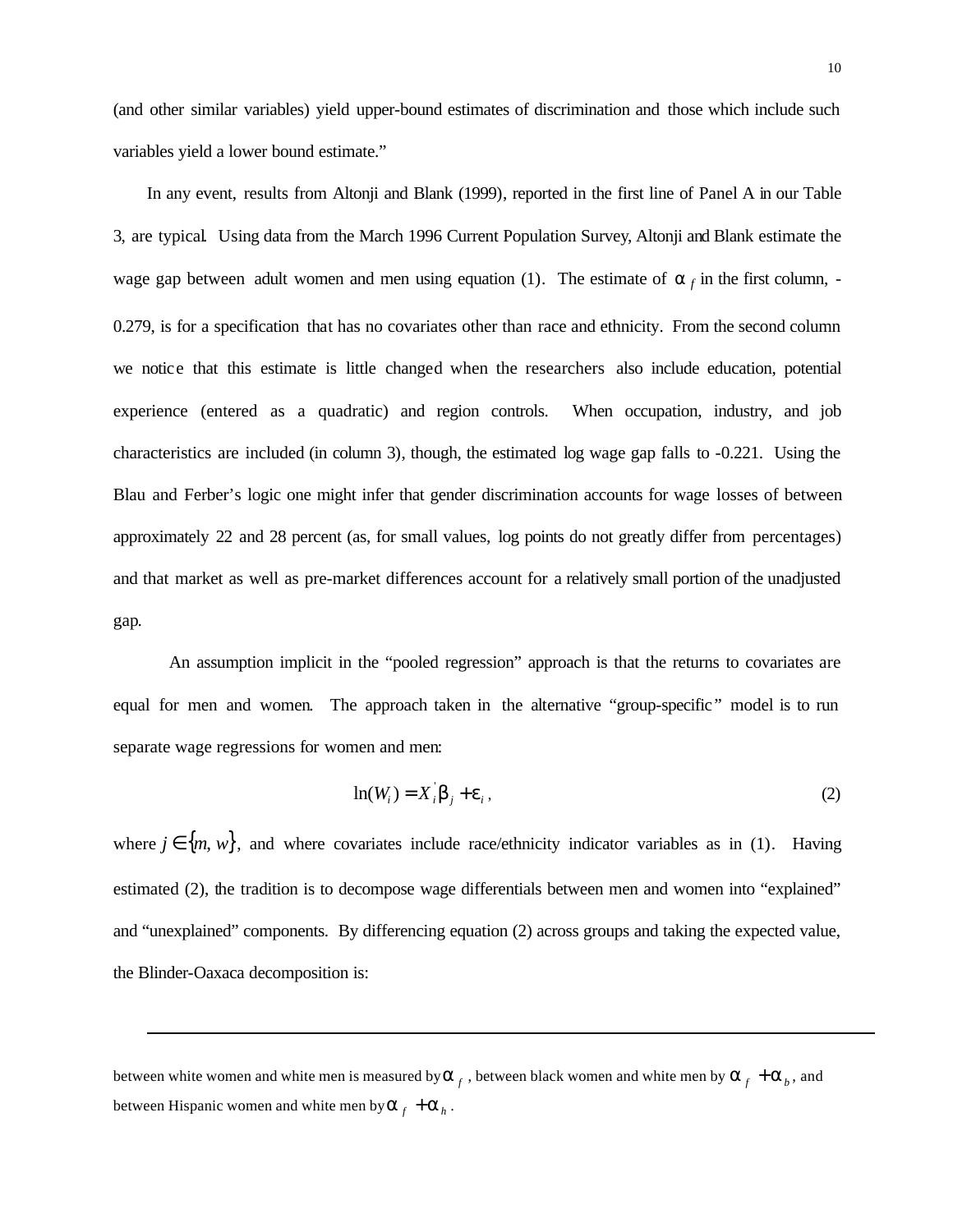(and other similar variables) yield upper-bound estimates of discrimination and those which include such variables yield a lower bound estimate."

In any event, results from Altonji and Blank (1999), reported in the first line of Panel A in our Table 3, are typical. Using data from the March 1996 Current Population Survey, Altonji and Blank estimate the wage gap between adult women and men using equation (1). The estimate of  $a_f$  in the first column, -0.279, is for a specification that has no covariates other than race and ethnicity. From the second column we notice that this estimate is little changed when the researchers also include education, potential experience (entered as a quadratic) and region controls. When occupation, industry, and job characteristics are included (in column 3), though, the estimated log wage gap falls to -0.221. Using the Blau and Ferber's logic one might infer that gender discrimination accounts for wage losses of between approximately 22 and 28 percent (as, for small values, log points do not greatly differ from percentages) and that market as well as pre-market differences account for a relatively small portion of the unadjusted gap.

An assumption implicit in the "pooled regression" approach is that the returns to covariates are equal for men and women. The approach taken in the alternative "group-specific" model is to run separate wage regressions for women and men:

$$
\ln(W_i) = X_i \mathbf{b}_j + \mathbf{e}_i,\tag{2}
$$

where  $j \in \{m, w\}$ , and where covariates include race/ethnicity indicator variables as in (1). Having estimated (2), the tradition is to decompose wage differentials between men and women into "explained" and "unexplained" components. By differencing equation (2) across groups and taking the expected value, the Blinder-Oaxaca decomposition is:

between white women and white men is measured by  $a_f$ , between black women and white men by  $a_f + a_b$ , and between Hispanic women and white men by  $a_f + a_h$ .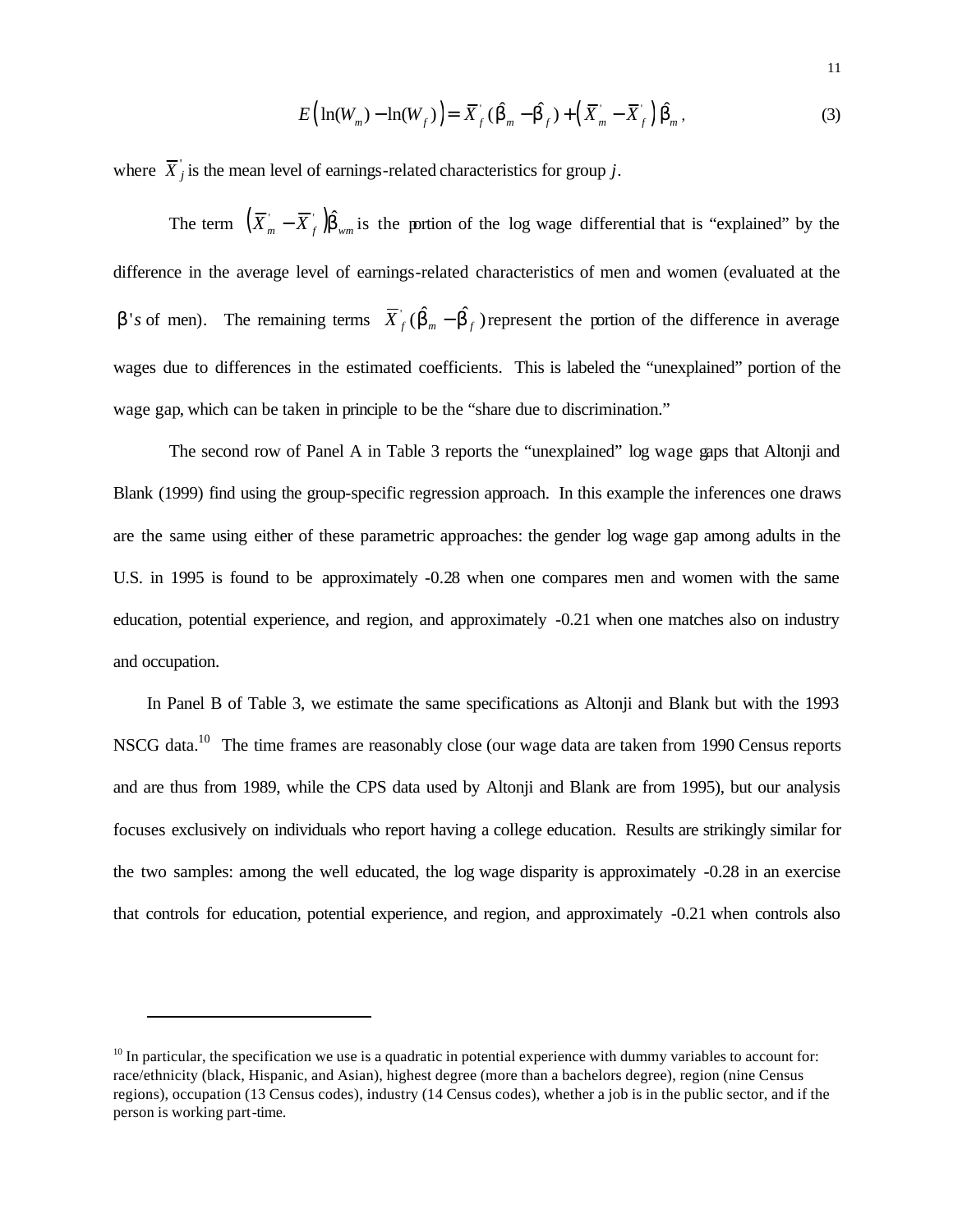$$
E\left(\ln(W_m) - \ln(W_f)\right) = \overline{X}_f \left(\hat{\boldsymbol{b}}_m - \hat{\boldsymbol{b}}_f\right) + \left(\overline{X}_m - \overline{X}_f\right) \hat{\boldsymbol{b}}_m, \tag{3}
$$

where  $\overline{X}_j$  is the mean level of earnings-related characteristics for group *j*.

The term  $(\overline{X}_m^{\cdot} - \overline{X}_f^{\cdot})\hat{b}_{wm}$  is the portion of the log wage differential that is "explained" by the difference in the average level of earnings-related characteristics of men and women (evaluated at the *b*'s of men). The remaining terms  $\overline{X}_f \left( \hat{b}_m - \hat{b}_f \right)$  represent the portion of the difference in average wages due to differences in the estimated coefficients. This is labeled the "unexplained" portion of the wage gap, which can be taken in principle to be the "share due to discrimination."

The second row of Panel A in Table 3 reports the "unexplained" log wage gaps that Altonji and Blank (1999) find using the group-specific regression approach. In this example the inferences one draws are the same using either of these parametric approaches: the gender log wage gap among adults in the U.S. in 1995 is found to be approximately -0.28 when one compares men and women with the same education, potential experience, and region, and approximately -0.21 when one matches also on industry and occupation.

In Panel B of Table 3, we estimate the same specifications as Altonji and Blank but with the 1993 NSCG data.<sup>10</sup> The time frames are reasonably close (our wage data are taken from 1990 Census reports and are thus from 1989, while the CPS data used by Altonji and Blank are from 1995), but our analysis focuses exclusively on individuals who report having a college education. Results are strikingly similar for the two samples: among the well educated, the log wage disparity is approximately -0.28 in an exercise that controls for education, potential experience, and region, and approximately -0.21 when controls also

 $10$  In particular, the specification we use is a quadratic in potential experience with dummy variables to account for: race/ethnicity (black, Hispanic, and Asian), highest degree (more than a bachelors degree), region (nine Census regions), occupation (13 Census codes), industry (14 Census codes), whether a job is in the public sector, and if the person is working part-time.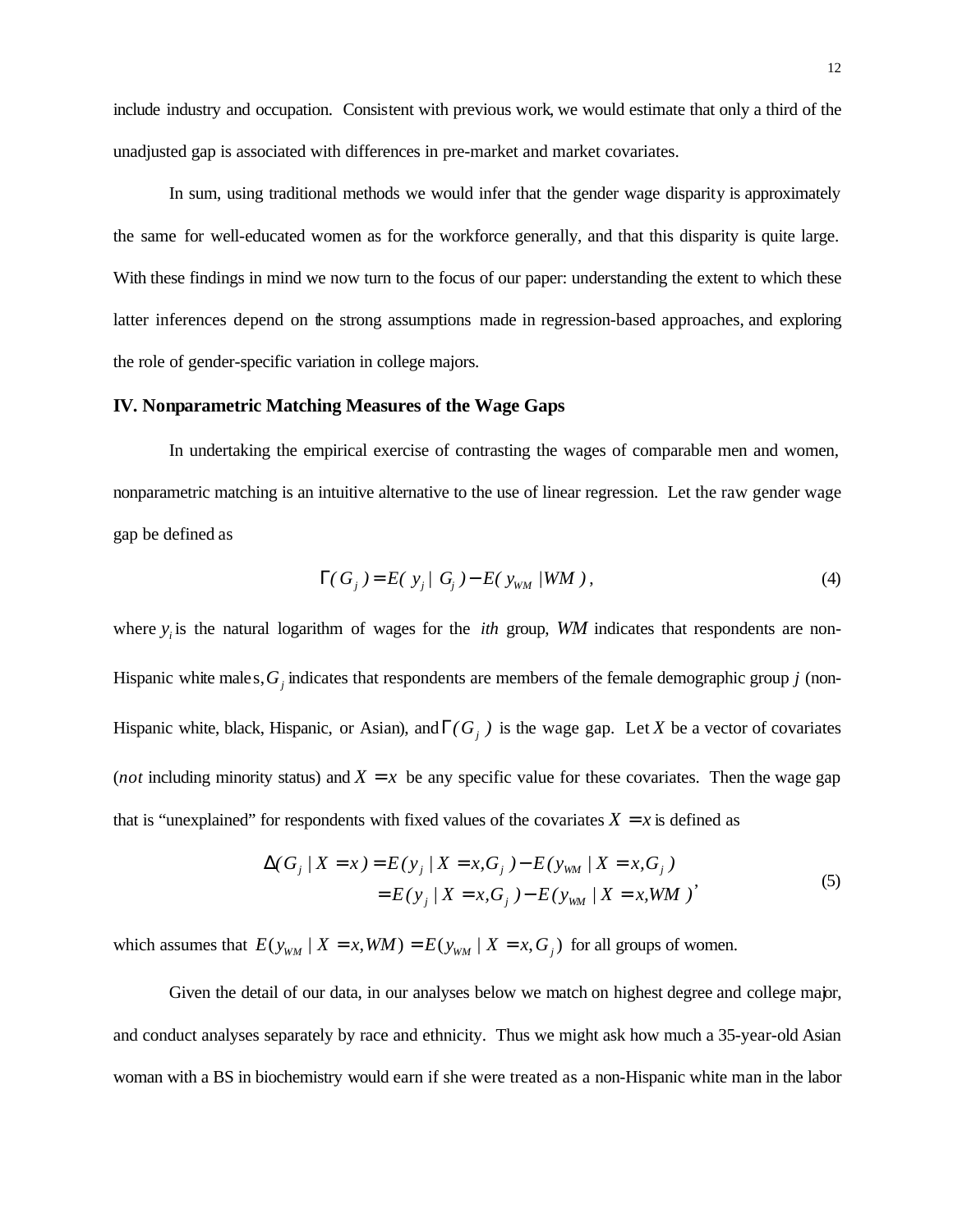include industry and occupation. Consistent with previous work, we would estimate that only a third of the unadjusted gap is associated with differences in pre-market and market covariates.

In sum, using traditional methods we would infer that the gender wage disparity is approximately the same for well-educated women as for the workforce generally, and that this disparity is quite large. With these findings in mind we now turn to the focus of our paper: understanding the extent to which these latter inferences depend on the strong assumptions made in regression-based approaches, and exploring the role of gender-specific variation in college majors.

#### **IV. Nonparametric Matching Measures of the Wage Gaps**

In undertaking the empirical exercise of contrasting the wages of comparable men and women, nonparametric matching is an intuitive alternative to the use of linear regression. Let the raw gender wage gap be defined as

$$
\Gamma(G_j) = E(\, y_j / G_j) - E(\, y_{WM} / WM \,), \tag{4}
$$

where  $y_i$  is the natural logarithm of wages for the *ith* group, WM indicates that respondents are non-Hispanic white males,  $G_j$  indicates that respondents are members of the female demographic group  $j$  (non-Hispanic white, black, Hispanic, or Asian), and  $\Gamma(G_i)$  is the wage gap. Let *X* be a vector of covariates (*not* including minority status) and  $X = x$  be any specific value for these covariates. Then the wage gap that is "unexplained" for respondents with fixed values of the covariates  $X = x$  is defined as

$$
\Delta(G_j/X = x) = E(y_j/X = x, G_j) - E(y_{WM}/X = x, G_j)
$$
  
=  $E(y_j/X = x, G_j) - E(y_{WM}/X = x, WM)$  (5)

which assumes that  $E(y_{WM} | X = x, WM) = E(y_{WM} | X = x, G_i)$  for all groups of women.

Given the detail of our data, in our analyses below we match on highest degree and college major, and conduct analyses separately by race and ethnicity. Thus we might ask how much a 35-year-old Asian woman with a BS in biochemistry would earn if she were treated as a non-Hispanic white man in the labor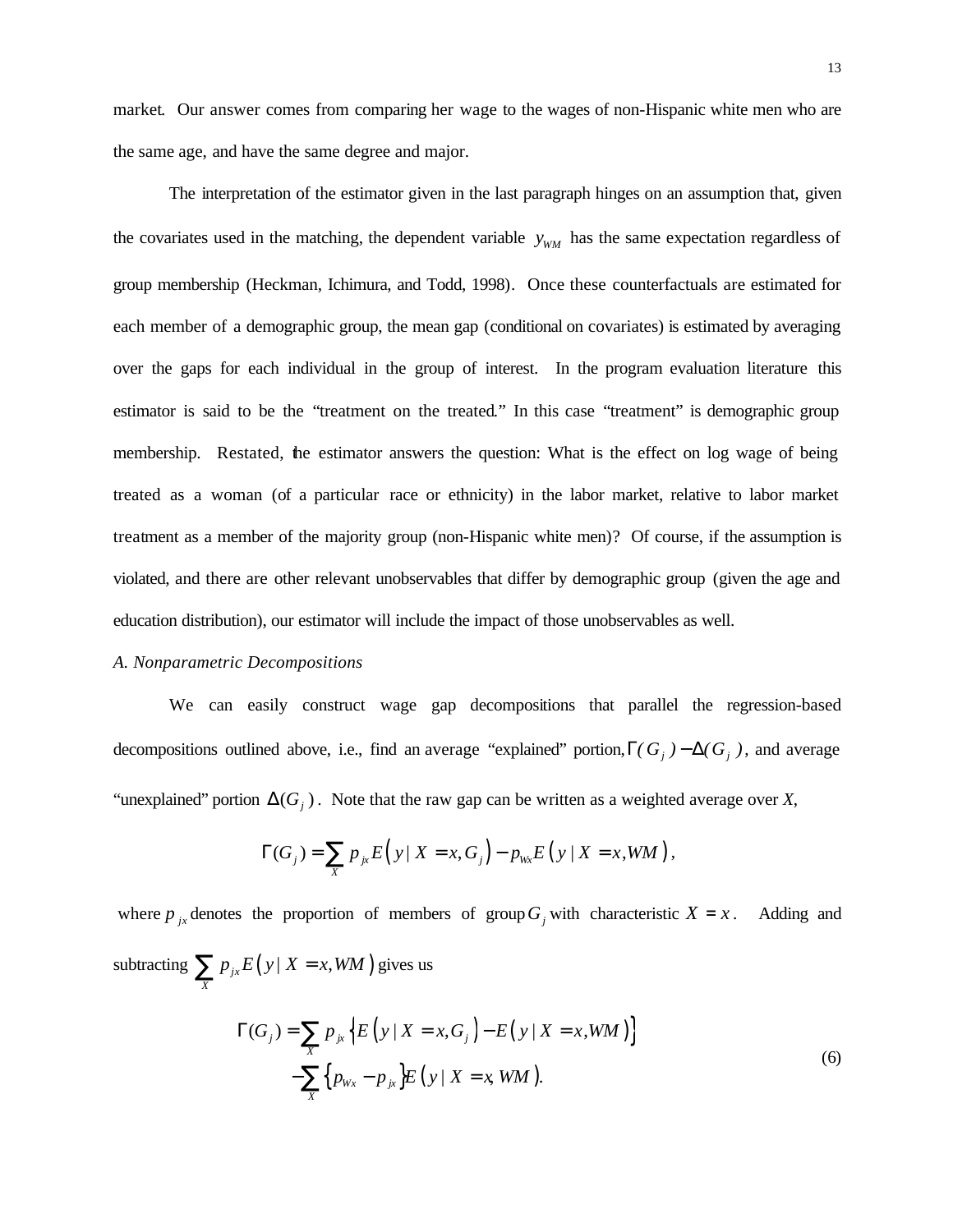market. Our answer comes from comparing her wage to the wages of non-Hispanic white men who are the same age, and have the same degree and major.

 The interpretation of the estimator given in the last paragraph hinges on an assumption that, given the covariates used in the matching, the dependent variable  $y_{WM}$  has the same expectation regardless of group membership (Heckman, Ichimura, and Todd, 1998). Once these counterfactuals are estimated for each member of a demographic group, the mean gap (conditional on covariates) is estimated by averaging over the gaps for each individual in the group of interest. In the program evaluation literature this estimator is said to be the "treatment on the treated." In this case "treatment" is demographic group membership. Restated, the estimator answers the question: What is the effect on log wage of being treated as a woman (of a particular race or ethnicity) in the labor market, relative to labor market treatment as a member of the majority group (non-Hispanic white men)? Of course, if the assumption is violated, and there are other relevant unobservables that differ by demographic group (given the age and education distribution), our estimator will include the impact of those unobservables as well.

#### *A. Nonparametric Decompositions*

We can easily construct wage gap decompositions that parallel the regression-based decompositions outlined above, i.e., find an average "explained" portion,  $\Gamma(G_j) - \Delta(G_j)$ , and average "unexplained" portion  $\Delta(G_j)$ . Note that the raw gap can be written as a weighted average over *X*,

$$
\Gamma(G_j) = \sum_{X} p_{jX} E(y \mid X = x, G_j) - p_{W_X} E(y \mid X = x, WM),
$$

where  $p_{jx}$  denotes the proportion of members of group  $G_j$  with characteristic  $X = x$ . Adding and subtracting  $\sum p_{jx} E(y | X = x, WM)$  $\sum_{X} p_{jx} E(y | X = x, WM)$  gives us

$$
\Gamma(G_j) = \sum_{X} p_{jX} \left\{ E(y | X = x, G_j) - E(y | X = x, WM) \right\}
$$
  
-
$$
\sum_{X} \left\{ p_{W_X} - p_{jX} \right\} E(y | X = x, WM).
$$
 (6)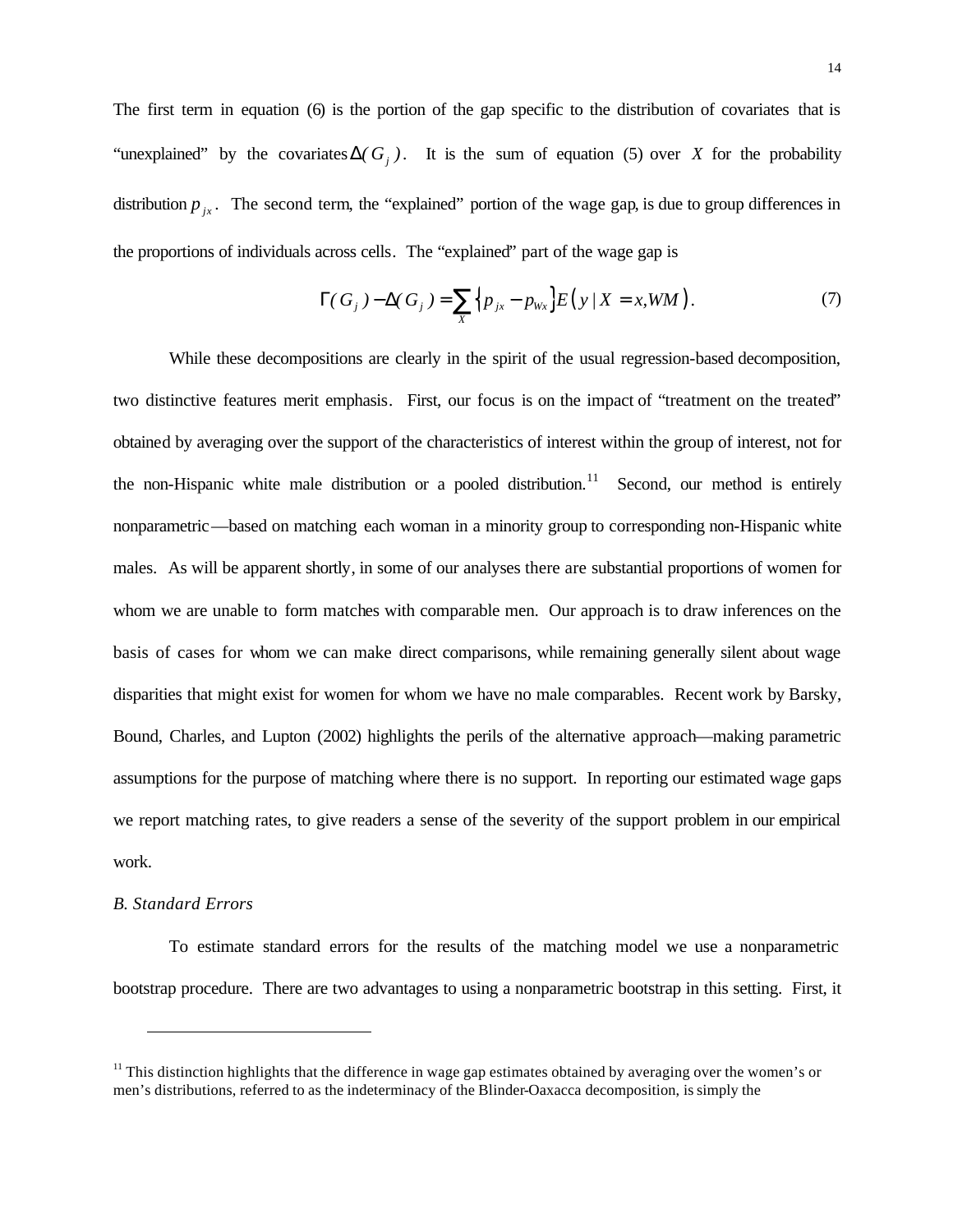The first term in equation (6) is the portion of the gap specific to the distribution of covariates that is "unexplained" by the covariates  $\Delta(G_i)$ . It is the sum of equation (5) over *X* for the probability distribution  $p_{i}$ . The second term, the "explained" portion of the wage gap, is due to group differences in the proportions of individuals across cells. The "explained" part of the wage gap is

$$
\Gamma(G_j) - \Delta(G_j) = \sum_{X} \left\{ p_{jx} - p_{wx} \right\} E\left(\left. y \right| X = x, WM \right). \tag{7}
$$

While these decompositions are clearly in the spirit of the usual regression-based decomposition, two distinctive features merit emphasis. First, our focus is on the impact of "treatment on the treated" obtained by averaging over the support of the characteristics of interest within the group of interest, not for the non-Hispanic white male distribution or a pooled distribution.<sup>11</sup> Second, our method is entirely nonparametric—based on matching each woman in a minority group to corresponding non-Hispanic white males. As will be apparent shortly, in some of our analyses there are substantial proportions of women for whom we are unable to form matches with comparable men. Our approach is to draw inferences on the basis of cases for whom we can make direct comparisons, while remaining generally silent about wage disparities that might exist for women for whom we have no male comparables. Recent work by Barsky, Bound, Charles, and Lupton (2002) highlights the perils of the alternative approach—making parametric assumptions for the purpose of matching where there is no support. In reporting our estimated wage gaps we report matching rates, to give readers a sense of the severity of the support problem in our empirical work.

#### *B. Standard Errors*

 $\overline{a}$ 

To estimate standard errors for the results of the matching model we use a nonparametric bootstrap procedure. There are two advantages to using a nonparametric bootstrap in this setting. First, it

<sup>&</sup>lt;sup>11</sup> This distinction highlights that the difference in wage gap estimates obtained by averaging over the women's or men's distributions, referred to as the indeterminacy of the Blinder-Oaxacca decomposition, is simply the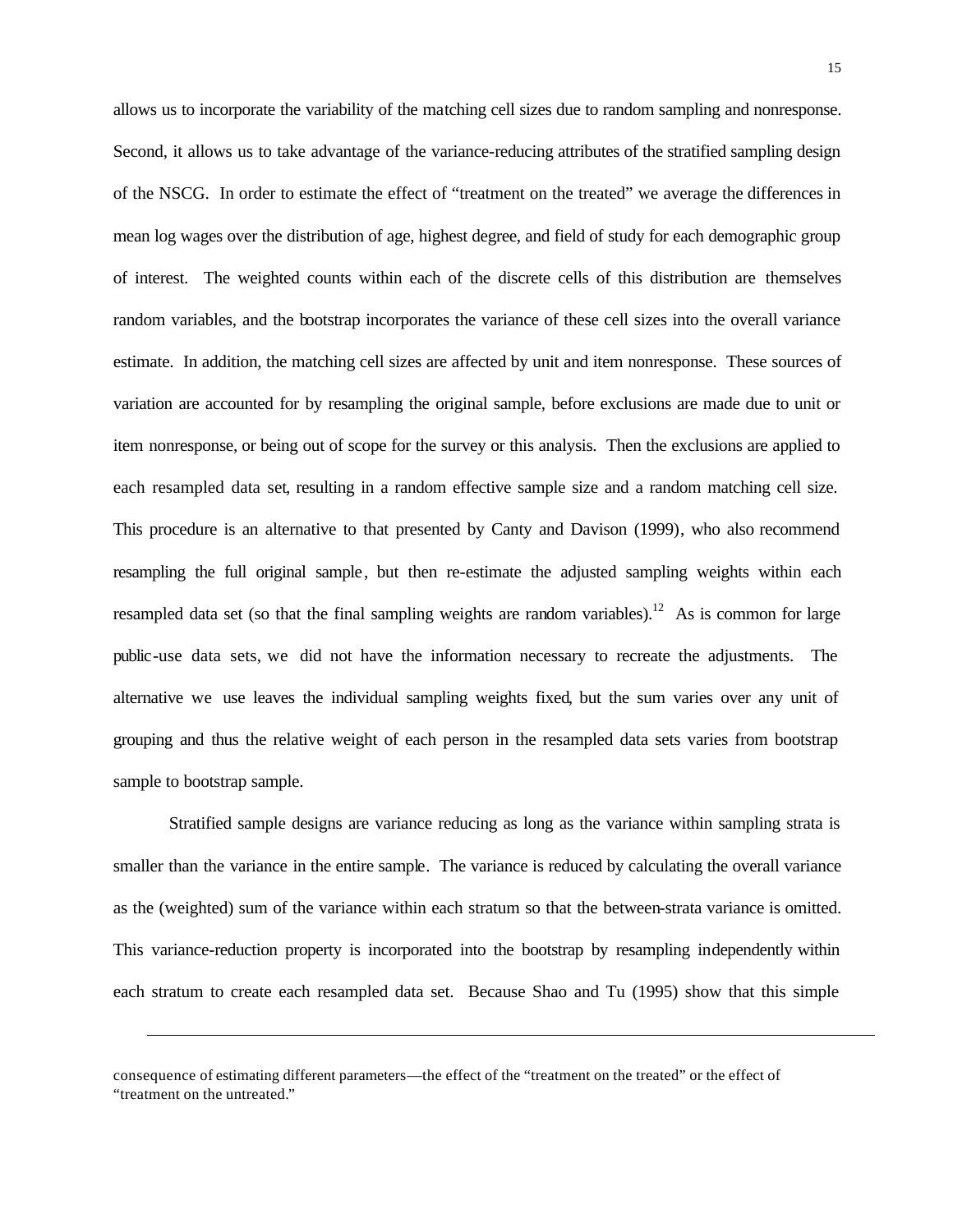allows us to incorporate the variability of the matching cell sizes due to random sampling and nonresponse. Second, it allows us to take advantage of the variance-reducing attributes of the stratified sampling design of the NSCG. In order to estimate the effect of "treatment on the treated" we average the differences in mean log wages over the distribution of age, highest degree, and field of study for each demographic group of interest. The weighted counts within each of the discrete cells of this distribution are themselves random variables, and the bootstrap incorporates the variance of these cell sizes into the overall variance estimate. In addition, the matching cell sizes are affected by unit and item nonresponse. These sources of variation are accounted for by resampling the original sample, before exclusions are made due to unit or item nonresponse, or being out of scope for the survey or this analysis. Then the exclusions are applied to each resampled data set, resulting in a random effective sample size and a random matching cell size. This procedure is an alternative to that presented by Canty and Davison (1999), who also recommend resampling the full original sample, but then re-estimate the adjusted sampling weights within each resampled data set (so that the final sampling weights are random variables).<sup>12</sup> As is common for large public-use data sets, we did not have the information necessary to recreate the adjustments. The alternative we use leaves the individual sampling weights fixed, but the sum varies over any unit of grouping and thus the relative weight of each person in the resampled data sets varies from bootstrap sample to bootstrap sample.

Stratified sample designs are variance reducing as long as the variance within sampling strata is smaller than the variance in the entire sample. The variance is reduced by calculating the overall variance as the (weighted) sum of the variance within each stratum so that the between-strata variance is omitted. This variance-reduction property is incorporated into the bootstrap by resampling independently within each stratum to create each resampled data set. Because Shao and Tu (1995) show that this simple

consequence of estimating different parameters—the effect of the "treatment on the treated" or the effect of "treatment on the untreated."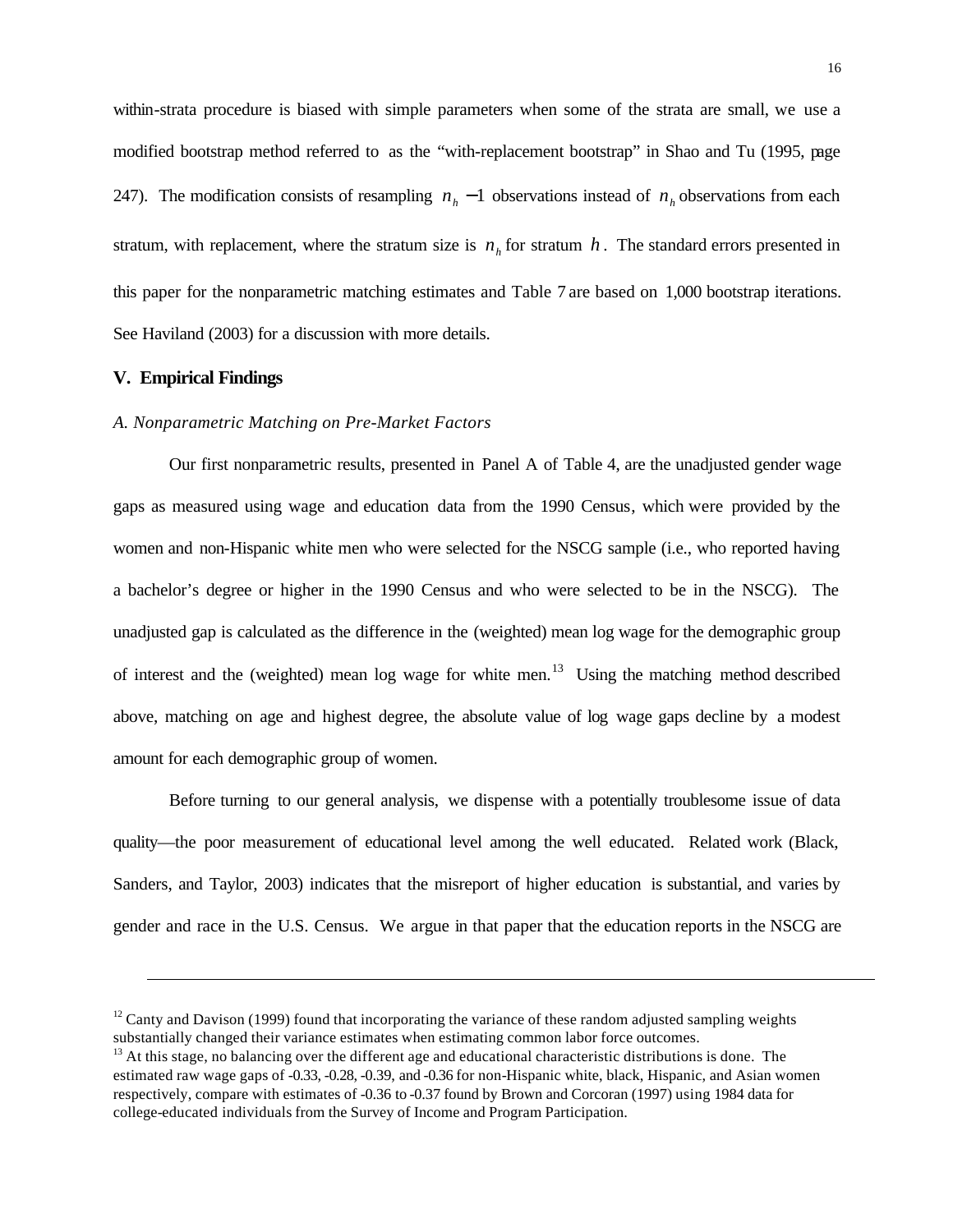within-strata procedure is biased with simple parameters when some of the strata are small, we use a modified bootstrap method referred to as the "with-replacement bootstrap" in Shao and Tu (1995, page 247). The modification consists of resampling  $n_h - 1$  observations instead of  $n_h$  observations from each stratum, with replacement, where the stratum size is  $n<sub>h</sub>$  for stratum  $h$ . The standard errors presented in this paper for the nonparametric matching estimates and Table 7 are based on 1,000 bootstrap iterations. See Haviland (2003) for a discussion with more details.

#### **V. Empirical Findings**

 $\overline{a}$ 

#### *A. Nonparametric Matching on Pre-Market Factors*

Our first nonparametric results, presented in Panel A of Table 4, are the unadjusted gender wage gaps as measured using wage and education data from the 1990 Census, which were provided by the women and non-Hispanic white men who were selected for the NSCG sample (i.e., who reported having a bachelor's degree or higher in the 1990 Census and who were selected to be in the NSCG). The unadjusted gap is calculated as the difference in the (weighted) mean log wage for the demographic group of interest and the (weighted) mean log wage for white men.<sup>13</sup> Using the matching method described above, matching on age and highest degree, the absolute value of log wage gaps decline by a modest amount for each demographic group of women.

Before turning to our general analysis, we dispense with a potentially troublesome issue of data quality—the poor measurement of educational level among the well educated. Related work (Black, Sanders, and Taylor, 2003) indicates that the misreport of higher education is substantial, and varies by gender and race in the U.S. Census. We argue in that paper that the education reports in the NSCG are

 $12$  Canty and Davison (1999) found that incorporating the variance of these random adjusted sampling weights substantially changed their variance estimates when estimating common labor force outcomes.

 $<sup>13</sup>$  At this stage, no balancing over the different age and educational characteristic distributions is done. The</sup> estimated raw wage gaps of -0.33, -0.28, -0.39, and -0.36 for non-Hispanic white, black, Hispanic, and Asian women respectively, compare with estimates of -0.36 to -0.37 found by Brown and Corcoran (1997) using 1984 data for college-educated individuals from the Survey of Income and Program Participation.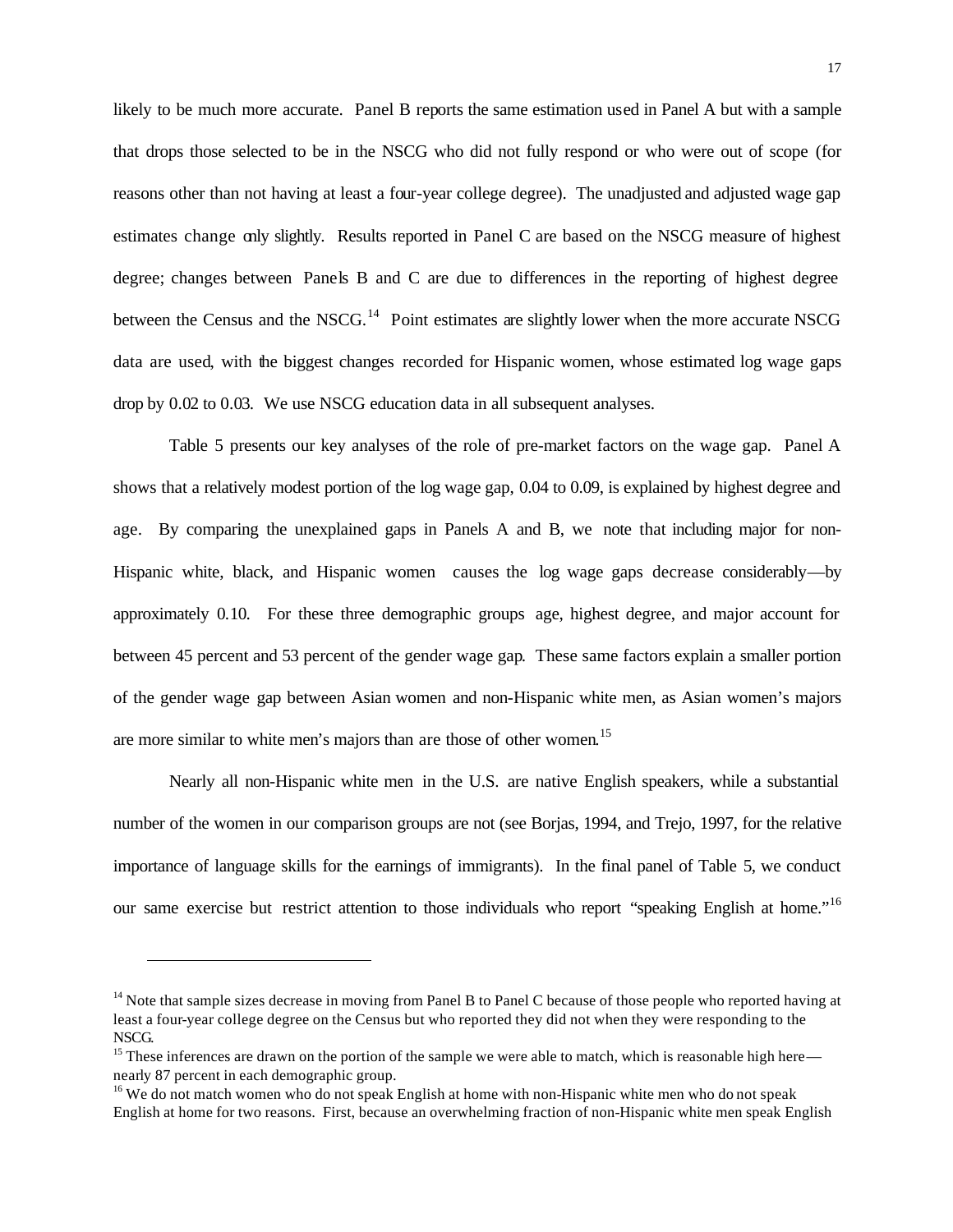likely to be much more accurate. Panel B reports the same estimation used in Panel A but with a sample that drops those selected to be in the NSCG who did not fully respond or who were out of scope (for reasons other than not having at least a four-year college degree). The unadjusted and adjusted wage gap estimates change only slightly. Results reported in Panel C are based on the NSCG measure of highest degree; changes between Panels B and C are due to differences in the reporting of highest degree between the Census and the NSCG.<sup>14</sup> Point estimates are slightly lower when the more accurate NSCG data are used, with the biggest changes recorded for Hispanic women, whose estimated log wage gaps drop by 0.02 to 0.03. We use NSCG education data in all subsequent analyses.

Table 5 presents our key analyses of the role of pre-market factors on the wage gap. Panel A shows that a relatively modest portion of the log wage gap, 0.04 to 0.09, is explained by highest degree and age. By comparing the unexplained gaps in Panels A and B, we note that including major for non-Hispanic white, black, and Hispanic women causes the log wage gaps decrease considerably—by approximately 0.10. For these three demographic groups age, highest degree, and major account for between 45 percent and 53 percent of the gender wage gap. These same factors explain a smaller portion of the gender wage gap between Asian women and non-Hispanic white men, as Asian women's majors are more similar to white men's majors than are those of other women.<sup>15</sup>

Nearly all non-Hispanic white men in the U.S. are native English speakers, while a substantial number of the women in our comparison groups are not (see Borjas, 1994, and Trejo, 1997, for the relative importance of language skills for the earnings of immigrants). In the final panel of Table 5, we conduct our same exercise but restrict attention to those individuals who report "speaking English at home."<sup>16</sup>

 $14$  Note that sample sizes decrease in moving from Panel B to Panel C because of those people who reported having at least a four-year college degree on the Census but who reported they did not when they were responding to the NSCG.

<sup>&</sup>lt;sup>15</sup> These inferences are drawn on the portion of the sample we were able to match, which is reasonable high here nearly 87 percent in each demographic group.

<sup>&</sup>lt;sup>16</sup> We do not match women who do not speak English at home with non-Hispanic white men who do not speak English at home for two reasons. First, because an overwhelming fraction of non-Hispanic white men speak English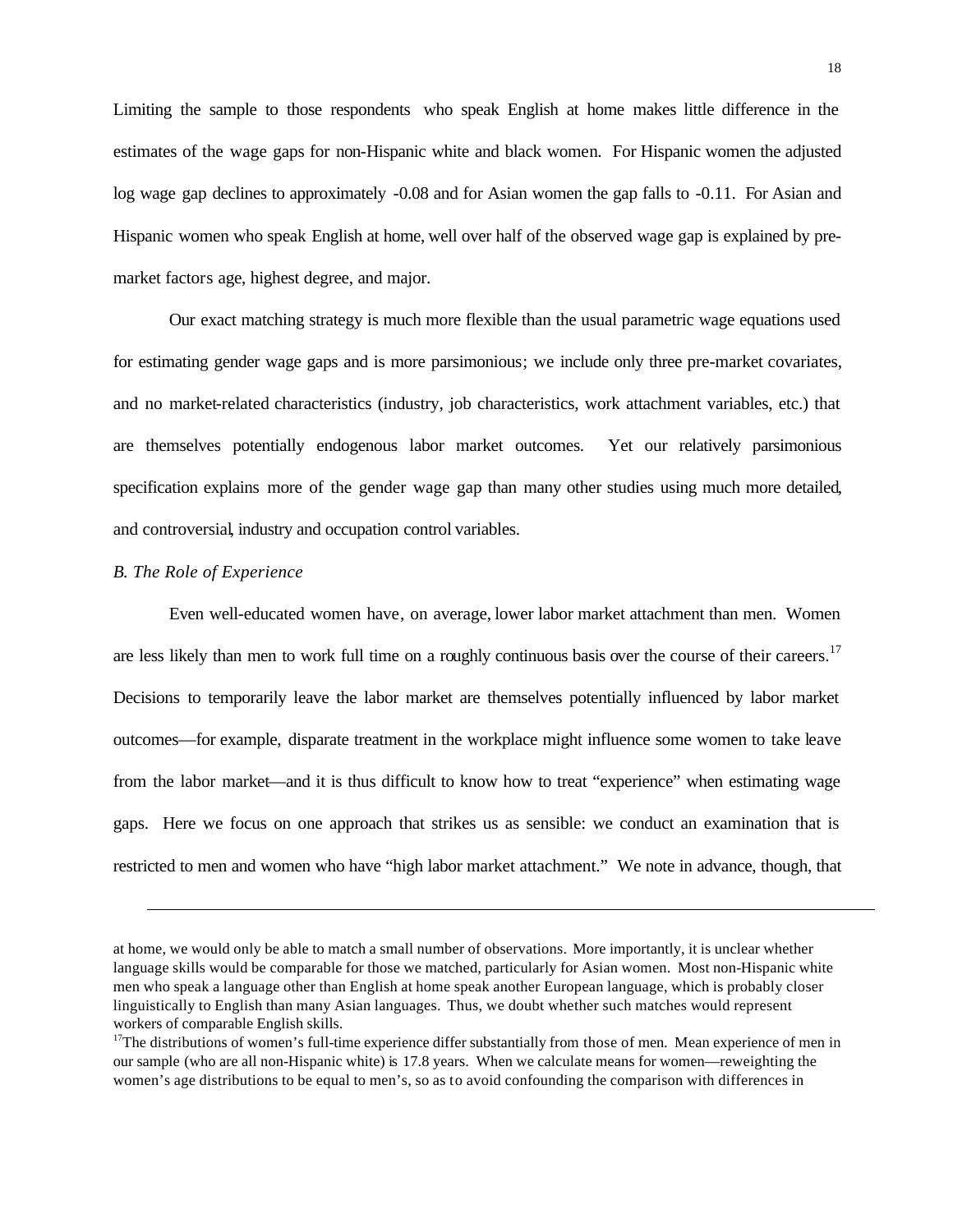Limiting the sample to those respondents who speak English at home makes little difference in the estimates of the wage gaps for non-Hispanic white and black women. For Hispanic women the adjusted log wage gap declines to approximately -0.08 and for Asian women the gap falls to -0.11. For Asian and Hispanic women who speak English at home, well over half of the observed wage gap is explained by premarket factors age, highest degree, and major.

Our exact matching strategy is much more flexible than the usual parametric wage equations used for estimating gender wage gaps and is more parsimonious; we include only three pre-market covariates, and no market-related characteristics (industry, job characteristics, work attachment variables, etc.) that are themselves potentially endogenous labor market outcomes. Yet our relatively parsimonious specification explains more of the gender wage gap than many other studies using much more detailed, and controversial, industry and occupation control variables.

#### *B. The Role of Experience*

 $\overline{a}$ 

Even well-educated women have, on average, lower labor market attachment than men. Women are less likely than men to work full time on a roughly continuous basis over the course of their careers.<sup>17</sup> Decisions to temporarily leave the labor market are themselves potentially influenced by labor market outcomes—for example, disparate treatment in the workplace might influence some women to take leave from the labor market—and it is thus difficult to know how to treat "experience" when estimating wage gaps. Here we focus on one approach that strikes us as sensible: we conduct an examination that is restricted to men and women who have "high labor market attachment." We note in advance, though, that

at home, we would only be able to match a small number of observations. More importantly, it is unclear whether language skills would be comparable for those we matched, particularly for Asian women. Most non-Hispanic white men who speak a language other than English at home speak another European language, which is probably closer linguistically to English than many Asian languages. Thus, we doubt whether such matches would represent workers of comparable English skills.

<sup>&</sup>lt;sup>17</sup>The distributions of women's full-time experience differ substantially from those of men. Mean experience of men in our sample (who are all non-Hispanic white) is 17.8 years. When we calculate means for women—reweighting the women's age distributions to be equal to men's, so as to avoid confounding the comparison with differences in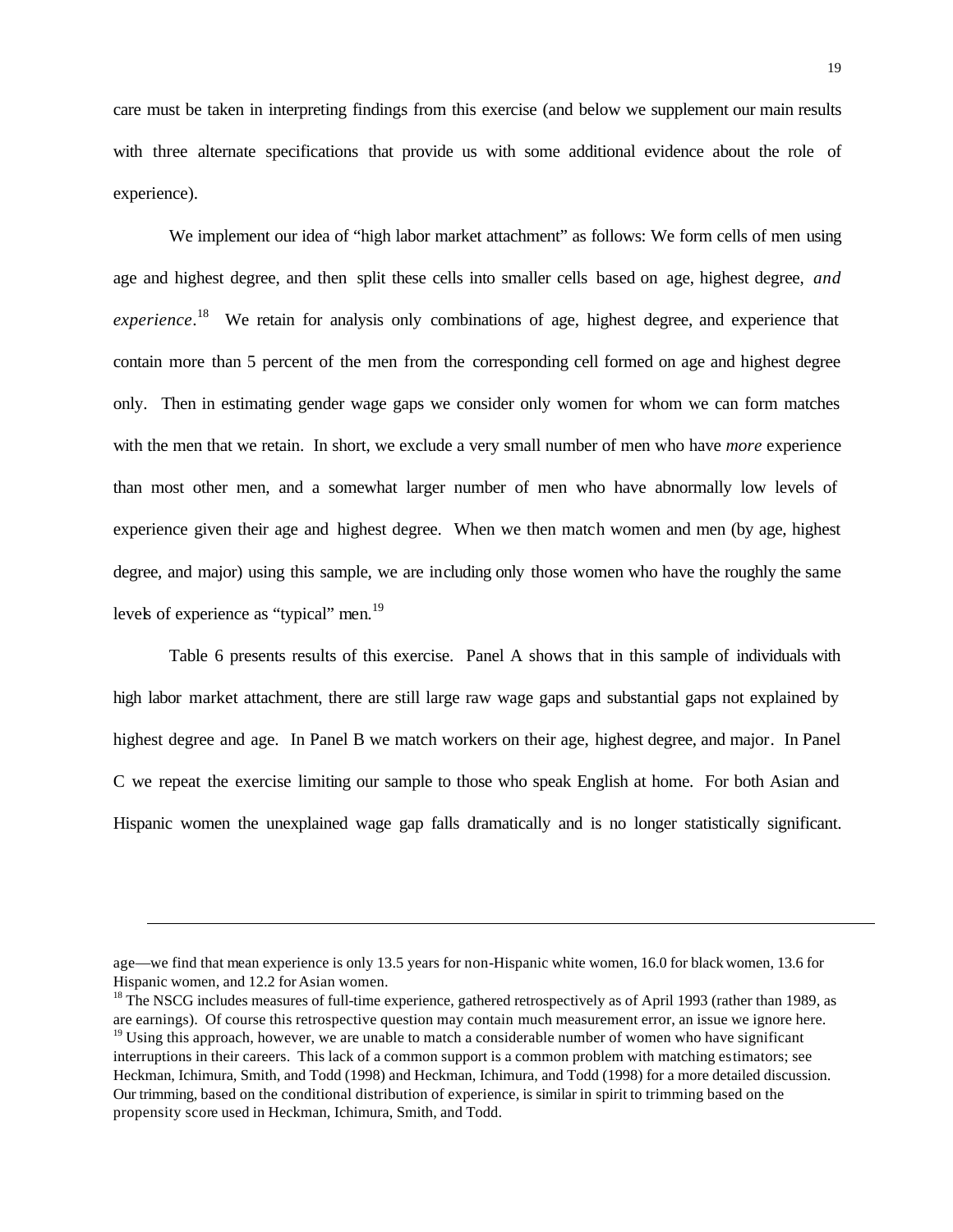care must be taken in interpreting findings from this exercise (and below we supplement our main results with three alternate specifications that provide us with some additional evidence about the role of experience).

We implement our idea of "high labor market attachment" as follows: We form cells of men using age and highest degree, and then split these cells into smaller cells based on age, highest degree, *and experience*. <sup>18</sup> We retain for analysis only combinations of age, highest degree, and experience that contain more than 5 percent of the men from the corresponding cell formed on age and highest degree only. Then in estimating gender wage gaps we consider only women for whom we can form matches with the men that we retain. In short, we exclude a very small number of men who have *more* experience than most other men, and a somewhat larger number of men who have abnormally low levels of experience given their age and highest degree. When we then match women and men (by age, highest degree, and major) using this sample, we are including only those women who have the roughly the same levels of experience as "typical" men.<sup>19</sup>

Table 6 presents results of this exercise. Panel A shows that in this sample of individuals with high labor market attachment, there are still large raw wage gaps and substantial gaps not explained by highest degree and age. In Panel B we match workers on their age, highest degree, and major. In Panel C we repeat the exercise limiting our sample to those who speak English at home. For both Asian and Hispanic women the unexplained wage gap falls dramatically and is no longer statistically significant.

age—we find that mean experience is only 13.5 years for non-Hispanic white women, 16.0 for black women, 13.6 for Hispanic women, and 12.2 for Asian women.

<sup>&</sup>lt;sup>18</sup> The NSCG includes measures of full-time experience, gathered retrospectively as of April 1993 (rather than 1989, as are earnings). Of course this retrospective question may contain much measurement error, an issue we ignore here.  $19$  Using this approach, however, we are unable to match a considerable number of women who have significant interruptions in their careers. This lack of a common support is a common problem with matching estimators; see Heckman, Ichimura, Smith, and Todd (1998) and Heckman, Ichimura, and Todd (1998) for a more detailed discussion. Our trimming, based on the conditional distribution of experience, is similar in spirit to trimming based on the propensity score used in Heckman, Ichimura, Smith, and Todd.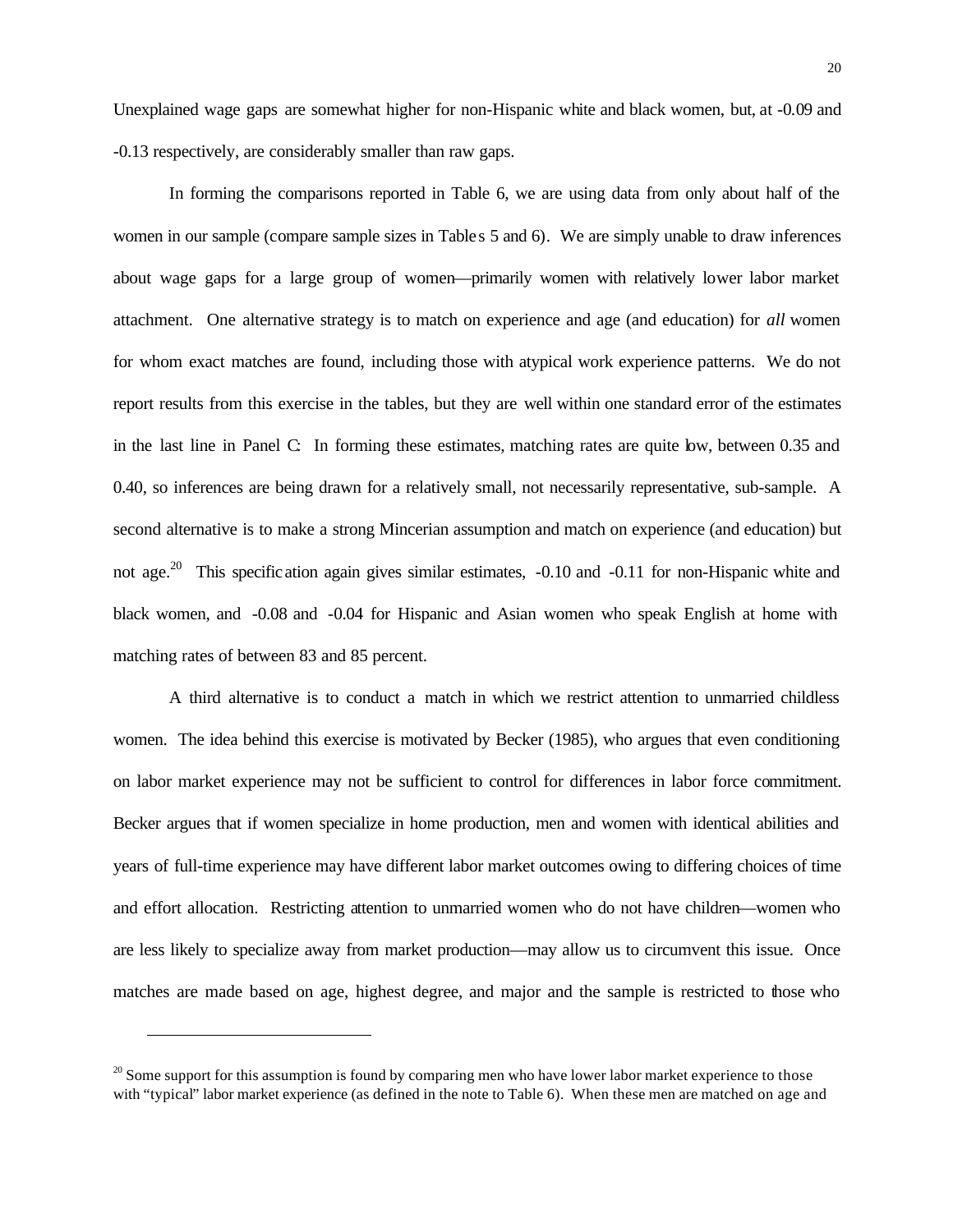Unexplained wage gaps are somewhat higher for non-Hispanic white and black women, but, at -0.09 and -0.13 respectively, are considerably smaller than raw gaps.

In forming the comparisons reported in Table 6, we are using data from only about half of the women in our sample (compare sample sizes in Tables 5 and 6). We are simply unable to draw inferences about wage gaps for a large group of women—primarily women with relatively lower labor market attachment. One alternative strategy is to match on experience and age (and education) for *all* women for whom exact matches are found, including those with atypical work experience patterns. We do not report results from this exercise in the tables, but they are well within one standard error of the estimates in the last line in Panel C: In forming these estimates, matching rates are quite low, between 0.35 and 0.40, so inferences are being drawn for a relatively small, not necessarily representative, sub-sample. A second alternative is to make a strong Mincerian assumption and match on experience (and education) but not age.<sup>20</sup> This specification again gives similar estimates, -0.10 and -0.11 for non-Hispanic white and black women, and -0.08 and -0.04 for Hispanic and Asian women who speak English at home with matching rates of between 83 and 85 percent.

A third alternative is to conduct a match in which we restrict attention to unmarried childless women. The idea behind this exercise is motivated by Becker (1985), who argues that even conditioning on labor market experience may not be sufficient to control for differences in labor force commitment. Becker argues that if women specialize in home production, men and women with identical abilities and years of full-time experience may have different labor market outcomes owing to differing choices of time and effort allocation. Restricting attention to unmarried women who do not have children—women who are less likely to specialize away from market production—may allow us to circumvent this issue. Once matches are made based on age, highest degree, and major and the sample is restricted to those who

 $20$  Some support for this assumption is found by comparing men who have lower labor market experience to those with "typical" labor market experience (as defined in the note to Table 6). When these men are matched on age and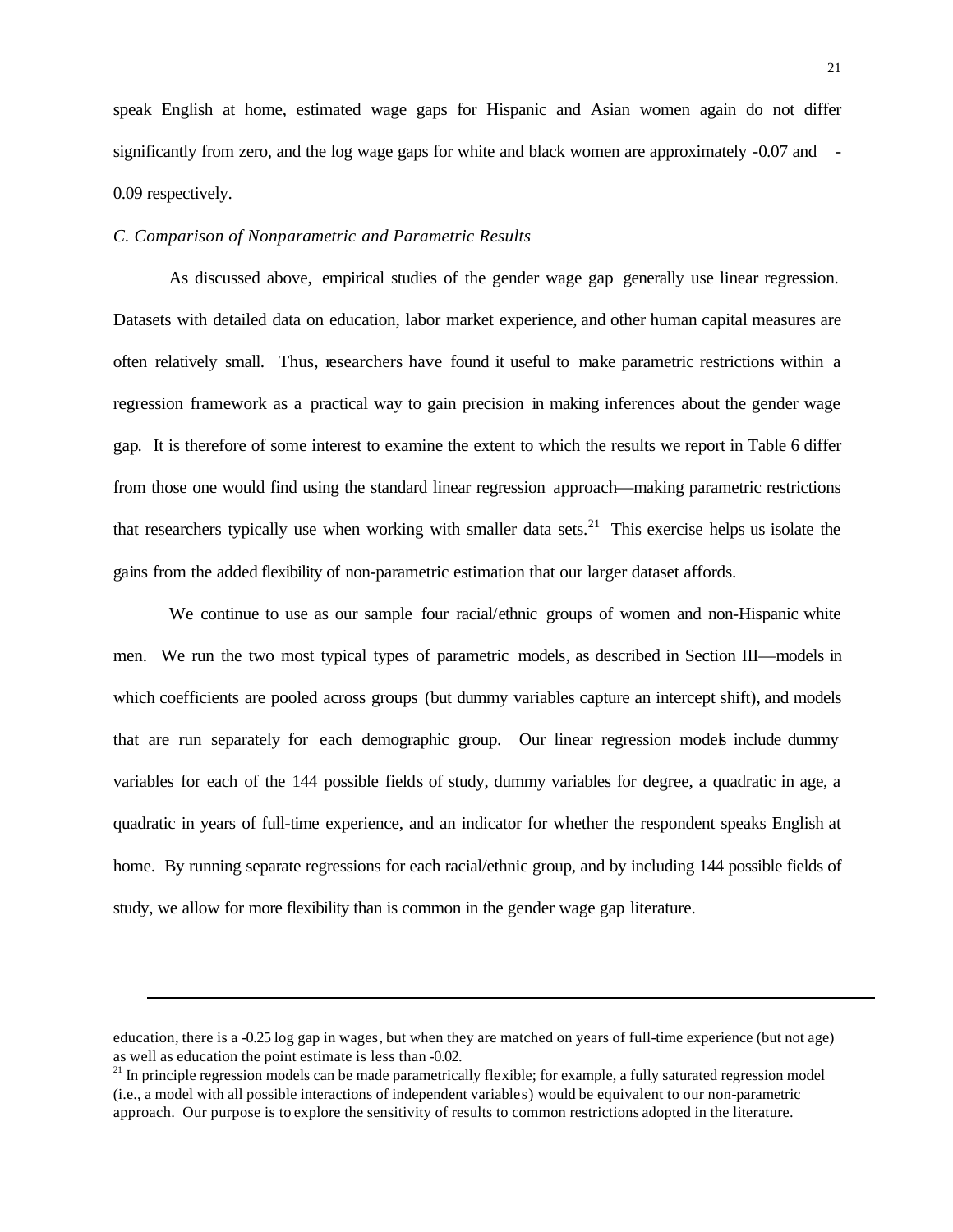speak English at home, estimated wage gaps for Hispanic and Asian women again do not differ significantly from zero, and the log wage gaps for white and black women are approximately -0.07 and -0.09 respectively.

#### *C. Comparison of Nonparametric and Parametric Results*

 $\overline{\phantom{a}}$ 

As discussed above, empirical studies of the gender wage gap generally use linear regression. Datasets with detailed data on education, labor market experience, and other human capital measures are often relatively small. Thus, researchers have found it useful to make parametric restrictions within a regression framework as a practical way to gain precision in making inferences about the gender wage gap. It is therefore of some interest to examine the extent to which the results we report in Table 6 differ from those one would find using the standard linear regression approach—making parametric restrictions that researchers typically use when working with smaller data sets.<sup>21</sup> This exercise helps us isolate the gains from the added flexibility of non-parametric estimation that our larger dataset affords.

We continue to use as our sample four racial/ethnic groups of women and non-Hispanic white men. We run the two most typical types of parametric models, as described in Section III—models in which coefficients are pooled across groups (but dummy variables capture an intercept shift), and models that are run separately for each demographic group. Our linear regression models include dummy variables for each of the 144 possible fields of study, dummy variables for degree, a quadratic in age, a quadratic in years of full-time experience, and an indicator for whether the respondent speaks English at home. By running separate regressions for each racial/ethnic group, and by including 144 possible fields of study, we allow for more flexibility than is common in the gender wage gap literature.

education, there is a -0.25 log gap in wages, but when they are matched on years of full-time experience (but not age) as well as education the point estimate is less than -0.02.

 $21$  In principle regression models can be made parametrically flexible; for example, a fully saturated regression model (i.e., a model with all possible interactions of independent variables) would be equivalent to our non-parametric approach. Our purpose is to explore the sensitivity of results to common restrictions adopted in the literature.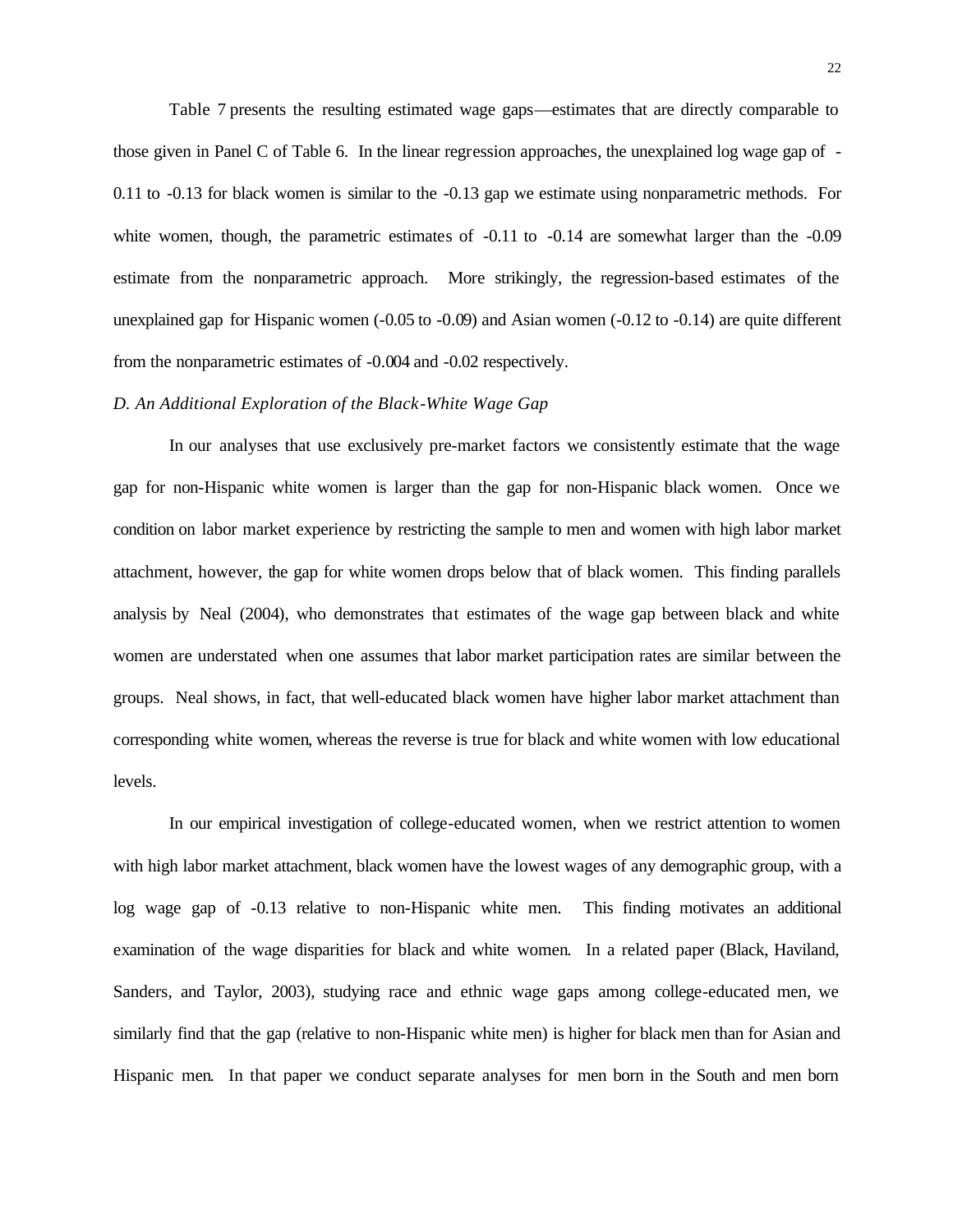Table 7 presents the resulting estimated wage gaps—estimates that are directly comparable to those given in Panel C of Table 6. In the linear regression approaches, the unexplained log wage gap of - 0.11 to -0.13 for black women is similar to the -0.13 gap we estimate using nonparametric methods. For white women, though, the parametric estimates of -0.11 to -0.14 are somewhat larger than the -0.09 estimate from the nonparametric approach. More strikingly, the regression-based estimates of the unexplained gap for Hispanic women (-0.05 to -0.09) and Asian women (-0.12 to -0.14) are quite different from the nonparametric estimates of -0.004 and -0.02 respectively.

#### *D. An Additional Exploration of the Black-White Wage Gap*

In our analyses that use exclusively pre-market factors we consistently estimate that the wage gap for non-Hispanic white women is larger than the gap for non-Hispanic black women. Once we condition on labor market experience by restricting the sample to men and women with high labor market attachment, however, the gap for white women drops below that of black women. This finding parallels analysis by Neal (2004), who demonstrates that estimates of the wage gap between black and white women are understated when one assumes that labor market participation rates are similar between the groups. Neal shows, in fact, that well-educated black women have higher labor market attachment than corresponding white women, whereas the reverse is true for black and white women with low educational levels.

In our empirical investigation of college-educated women, when we restrict attention to women with high labor market attachment, black women have the lowest wages of any demographic group, with a log wage gap of -0.13 relative to non-Hispanic white men. This finding motivates an additional examination of the wage disparities for black and white women. In a related paper (Black, Haviland, Sanders, and Taylor, 2003), studying race and ethnic wage gaps among college-educated men, we similarly find that the gap (relative to non-Hispanic white men) is higher for black men than for Asian and Hispanic men. In that paper we conduct separate analyses for men born in the South and men born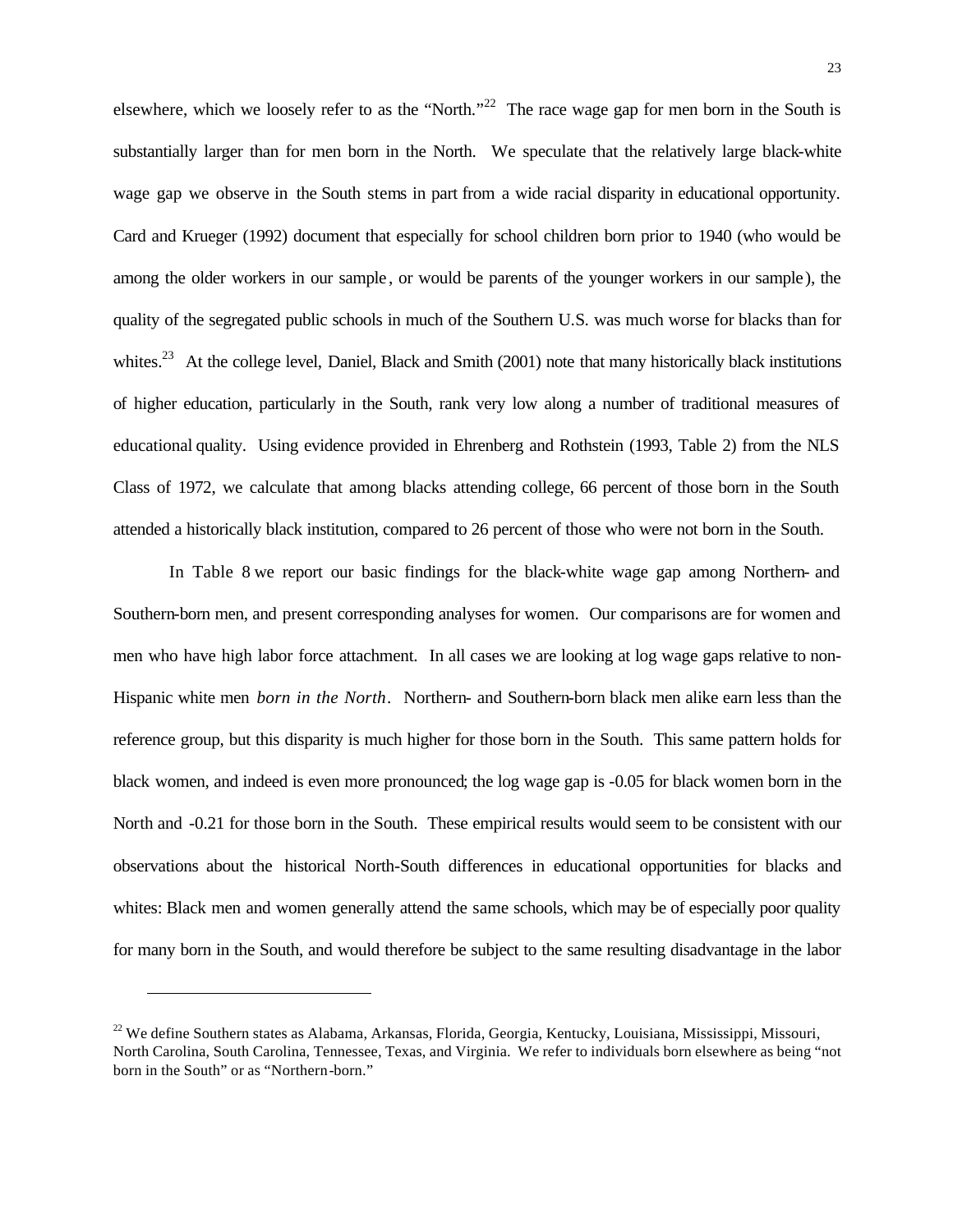elsewhere, which we loosely refer to as the "North."<sup>22</sup> The race wage gap for men born in the South is substantially larger than for men born in the North. We speculate that the relatively large black-white wage gap we observe in the South stems in part from a wide racial disparity in educational opportunity. Card and Krueger (1992) document that especially for school children born prior to 1940 (who would be among the older workers in our sample, or would be parents of the younger workers in our sample ), the quality of the segregated public schools in much of the Southern U.S. was much worse for blacks than for whites.<sup>23</sup> At the college level, Daniel, Black and Smith (2001) note that many historically black institutions of higher education, particularly in the South, rank very low along a number of traditional measures of educational quality. Using evidence provided in Ehrenberg and Rothstein (1993, Table 2) from the NLS Class of 1972, we calculate that among blacks attending college, 66 percent of those born in the South attended a historically black institution, compared to 26 percent of those who were not born in the South.

In Table 8 we report our basic findings for the black-white wage gap among Northern- and Southern-born men, and present corresponding analyses for women. Our comparisons are for women and men who have high labor force attachment. In all cases we are looking at log wage gaps relative to non-Hispanic white men *born in the North.* Northern- and Southern-born black men alike earn less than the reference group, but this disparity is much higher for those born in the South. This same pattern holds for black women, and indeed is even more pronounced; the log wage gap is -0.05 for black women born in the North and -0.21 for those born in the South. These empirical results would seem to be consistent with our observations about the historical North-South differences in educational opportunities for blacks and whites: Black men and women generally attend the same schools, which may be of especially poor quality for many born in the South, and would therefore be subject to the same resulting disadvantage in the labor

 $\overline{\phantom{a}}$ 

 $^{22}$  We define Southern states as Alabama, Arkansas, Florida, Georgia, Kentucky, Louisiana, Mississippi, Missouri, North Carolina, South Carolina, Tennessee, Texas, and Virginia. We refer to individuals born elsewhere as being "not born in the South" or as "Northern-born."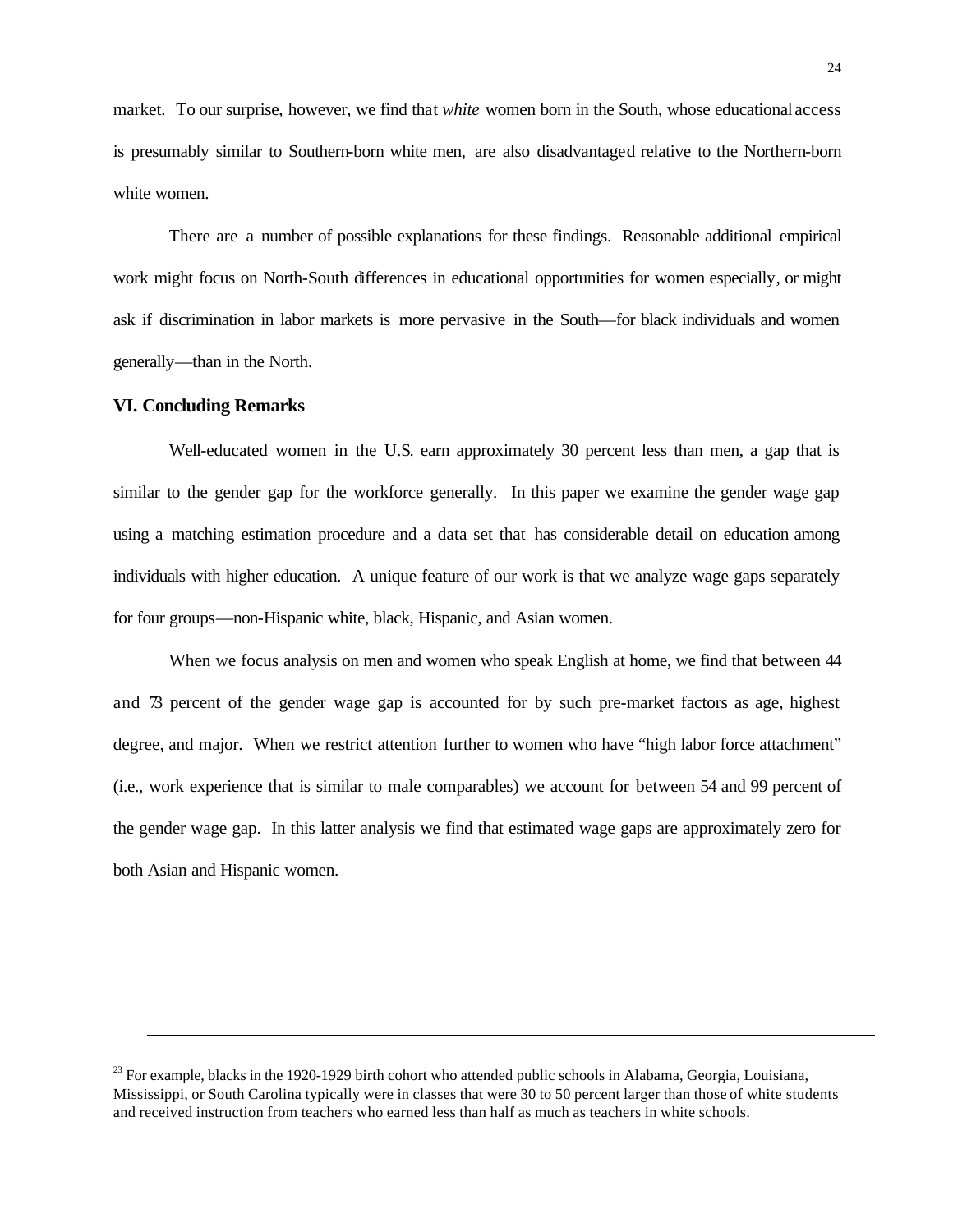market. To our surprise, however, we find that *white* women born in the South, whose educational access is presumably similar to Southern-born white men, are also disadvantaged relative to the Northern-born white women.

There are a number of possible explanations for these findings. Reasonable additional empirical work might focus on North-South differences in educational opportunities for women especially, or might ask if discrimination in labor markets is more pervasive in the South—for black individuals and women generally—than in the North.

#### **VI. Concluding Remarks**

 $\overline{\phantom{a}}$ 

Well-educated women in the U.S. earn approximately 30 percent less than men, a gap that is similar to the gender gap for the workforce generally. In this paper we examine the gender wage gap using a matching estimation procedure and a data set that has considerable detail on education among individuals with higher education. A unique feature of our work is that we analyze wage gaps separately for four groups—non-Hispanic white, black, Hispanic, and Asian women.

When we focus analysis on men and women who speak English at home, we find that between 44 and 73 percent of the gender wage gap is accounted for by such pre-market factors as age, highest degree, and major. When we restrict attention further to women who have "high labor force attachment" (i.e., work experience that is similar to male comparables) we account for between 54 and 99 percent of the gender wage gap. In this latter analysis we find that estimated wage gaps are approximately zero for both Asian and Hispanic women.

 $^{23}$  For example, blacks in the 1920-1929 birth cohort who attended public schools in Alabama, Georgia, Louisiana, Mississippi, or South Carolina typically were in classes that were 30 to 50 percent larger than those of white students and received instruction from teachers who earned less than half as much as teachers in white schools.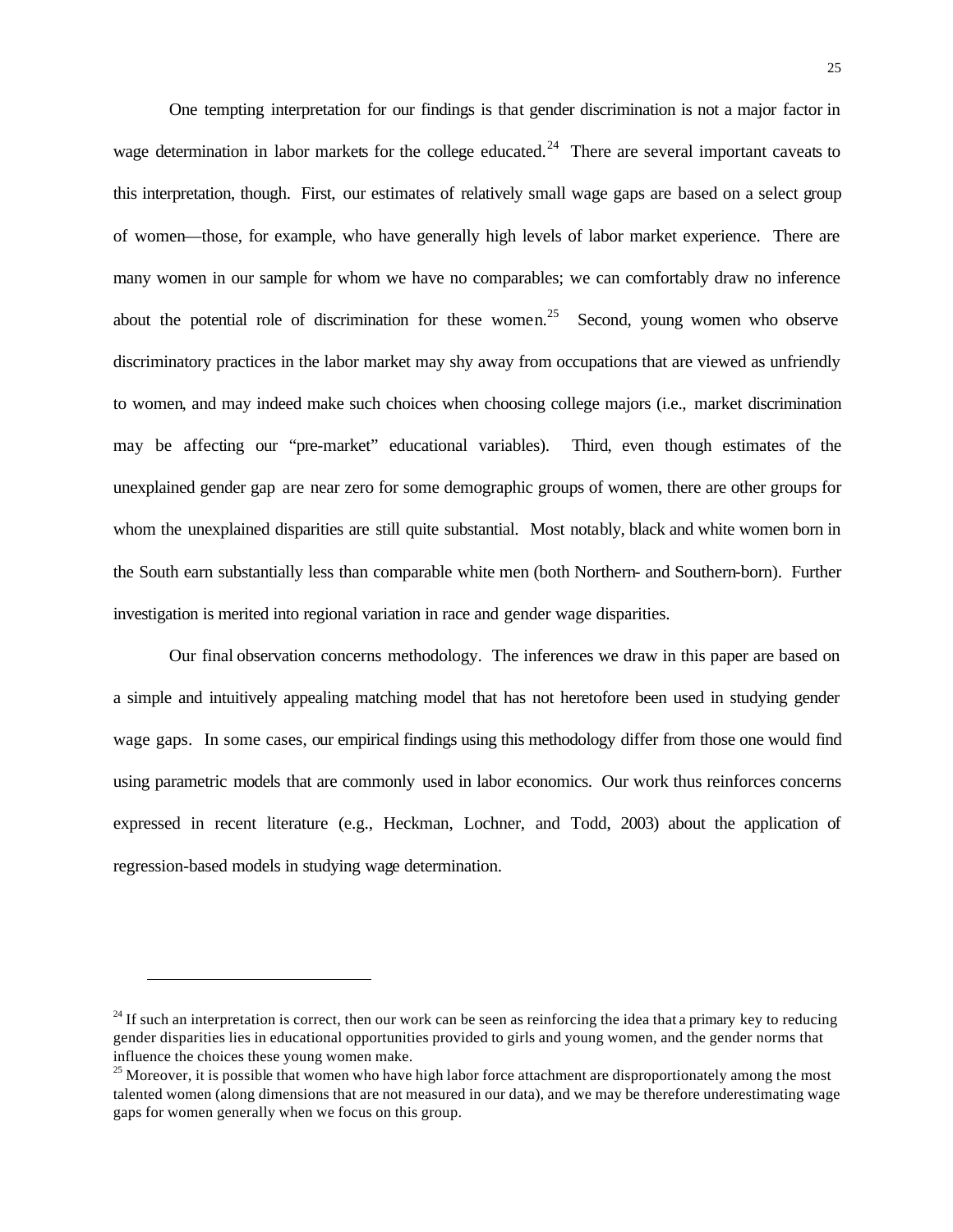One tempting interpretation for our findings is that gender discrimination is not a major factor in wage determination in labor markets for the college educated.<sup>24</sup> There are several important caveats to this interpretation, though. First, our estimates of relatively small wage gaps are based on a select group of women—those, for example, who have generally high levels of labor market experience. There are many women in our sample for whom we have no comparables; we can comfortably draw no inference about the potential role of discrimination for these women.<sup>25</sup> Second, young women who observe discriminatory practices in the labor market may shy away from occupations that are viewed as unfriendly to women, and may indeed make such choices when choosing college majors (i.e., market discrimination may be affecting our "pre-market" educational variables). Third, even though estimates of the unexplained gender gap are near zero for some demographic groups of women, there are other groups for whom the unexplained disparities are still quite substantial. Most notably, black and white women born in the South earn substantially less than comparable white men (both Northern- and Southern-born). Further investigation is merited into regional variation in race and gender wage disparities.

Our final observation concerns methodology. The inferences we draw in this paper are based on a simple and intuitively appealing matching model that has not heretofore been used in studying gender wage gaps. In some cases, our empirical findings using this methodology differ from those one would find using parametric models that are commonly used in labor economics. Our work thus reinforces concerns expressed in recent literature (e.g., Heckman, Lochner, and Todd, 2003) about the application of regression-based models in studying wage determination.

 $\overline{\phantom{a}}$ 

 $24$  If such an interpretation is correct, then our work can be seen as reinforcing the idea that a primary key to reducing gender disparities lies in educational opportunities provided to girls and young women, and the gender norms that influence the choices these young women make.

<sup>&</sup>lt;sup>25</sup> Moreover, it is possible that women who have high labor force attachment are disproportionately among the most talented women (along dimensions that are not measured in our data), and we may be therefore underestimating wage gaps for women generally when we focus on this group.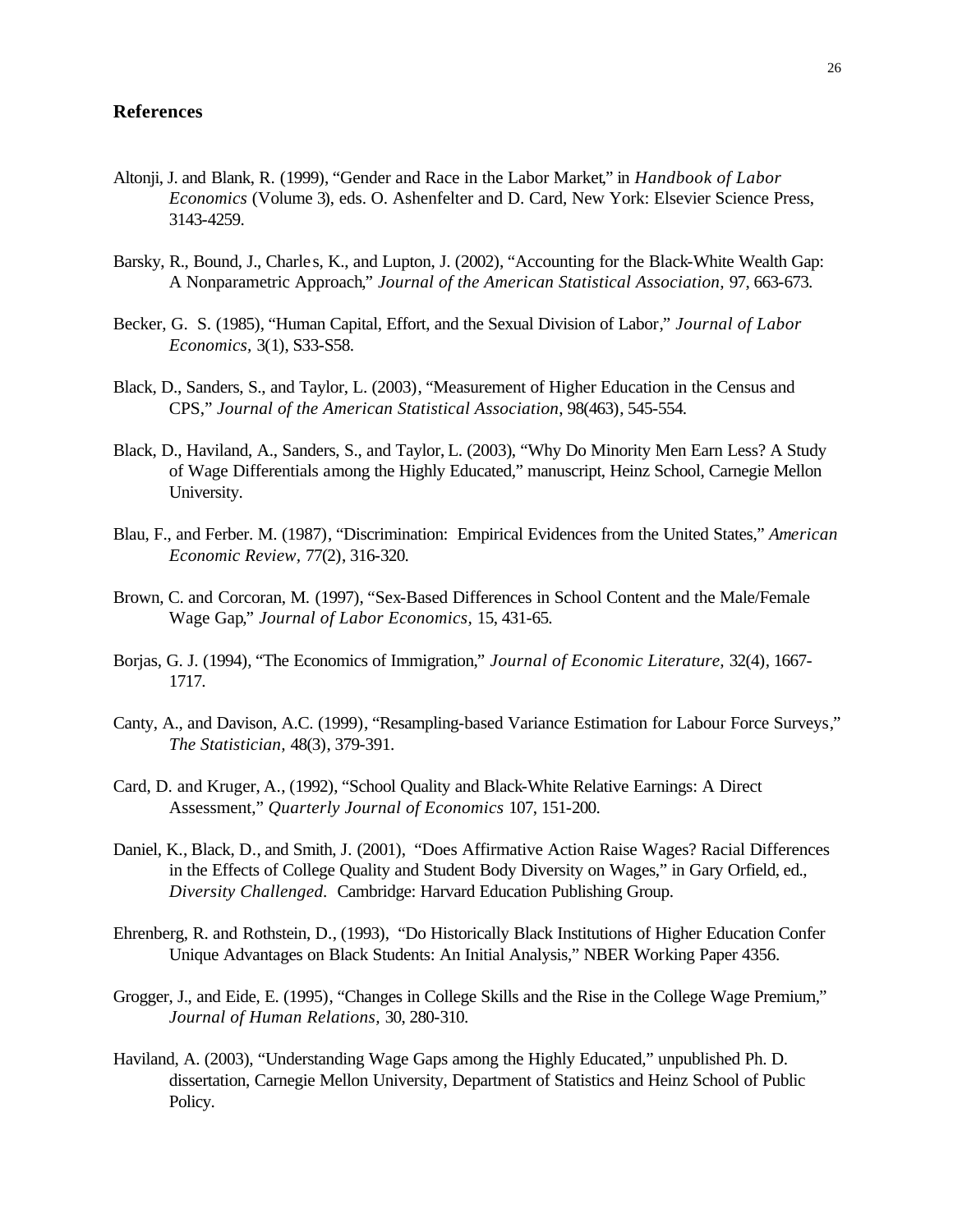#### **References**

- Altonji, J. and Blank, R. (1999), "Gender and Race in the Labor Market," in *Handbook of Labor Economics* (Volume 3), eds. O. Ashenfelter and D. Card, New York: Elsevier Science Press, 3143-4259.
- Barsky, R., Bound, J., Charle s, K., and Lupton, J. (2002), "Accounting for the Black-White Wealth Gap: A Nonparametric Approach," *Journal of the American Statistical Association,* 97, 663-673.
- Becker, G. S. (1985), "Human Capital, Effort, and the Sexual Division of Labor," *Journal of Labor Economics,* 3(1), S33-S58.
- Black, D., Sanders, S., and Taylor, L. (2003), "Measurement of Higher Education in the Census and CPS," *Journal of the American Statistical Association*, 98(463), 545-554.
- Black, D., Haviland, A., Sanders, S., and Taylor, L. (2003), "Why Do Minority Men Earn Less? A Study of Wage Differentials among the Highly Educated," manuscript, Heinz School, Carnegie Mellon University.
- Blau, F., and Ferber. M. (1987), "Discrimination: Empirical Evidences from the United States," *American Economic Review,* 77(2), 316-320.
- Brown, C. and Corcoran, M. (1997), "Sex-Based Differences in School Content and the Male/Female Wage Gap," *Journal of Labor Economics,* 15, 431-65.
- Borjas, G. J. (1994), "The Economics of Immigration," *Journal of Economic Literature,* 32(4), 1667- 1717.
- Canty, A., and Davison, A.C. (1999), "Resampling-based Variance Estimation for Labour Force Surveys," *The Statistician,* 48(3), 379-391.
- Card, D. and Kruger, A., (1992), "School Quality and Black-White Relative Earnings: A Direct Assessment," *Quarterly Journal of Economics* 107, 151-200.
- Daniel, K., Black, D., and Smith, J. (2001), "Does Affirmative Action Raise Wages? Racial Differences in the Effects of College Quality and Student Body Diversity on Wages," in Gary Orfield, ed., *Diversity Challenged.* Cambridge: Harvard Education Publishing Group.
- Ehrenberg, R. and Rothstein, D., (1993), "Do Historically Black Institutions of Higher Education Confer Unique Advantages on Black Students: An Initial Analysis," NBER Working Paper 4356.
- Grogger, J., and Eide, E. (1995), "Changes in College Skills and the Rise in the College Wage Premium," *Journal of Human Relations,* 30, 280-310.
- Haviland, A. (2003), "Understanding Wage Gaps among the Highly Educated," unpublished Ph. D. dissertation, Carnegie Mellon University, Department of Statistics and Heinz School of Public Policy.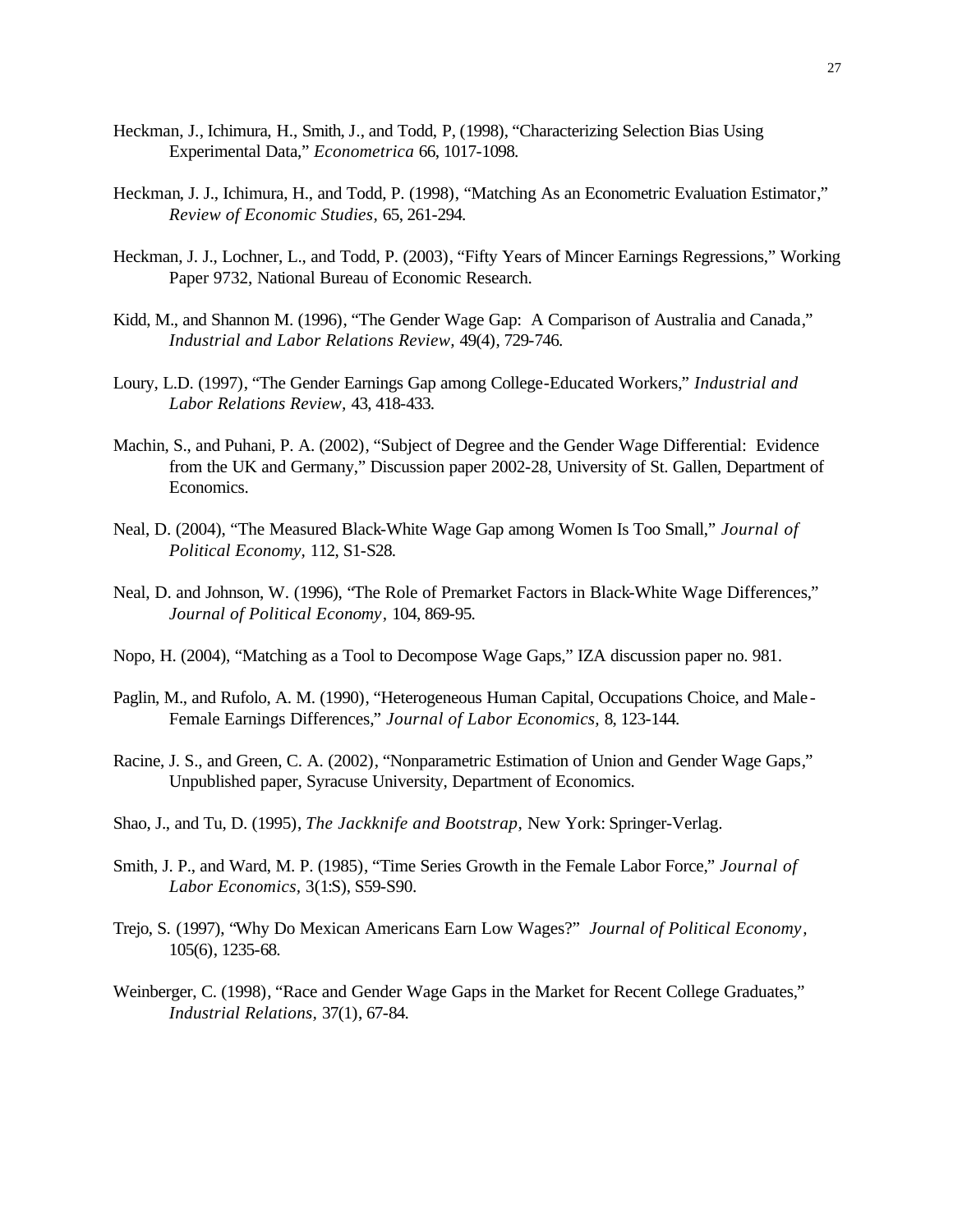- Heckman, J., Ichimura, H., Smith, J., and Todd, P, (1998), "Characterizing Selection Bias Using Experimental Data," *Econometrica* 66, 1017-1098.
- Heckman, J. J., Ichimura, H., and Todd, P. (1998), "Matching As an Econometric Evaluation Estimator," *Review of Economic Studies,* 65, 261-294.
- Heckman, J. J., Lochner, L., and Todd, P. (2003), "Fifty Years of Mincer Earnings Regressions," Working Paper 9732, National Bureau of Economic Research.
- Kidd, M., and Shannon M. (1996), "The Gender Wage Gap: A Comparison of Australia and Canada," *Industrial and Labor Relations Review,* 49(4), 729-746.
- Loury, L.D. (1997), "The Gender Earnings Gap among College-Educated Workers," *Industrial and Labor Relations Review,* 43, 418-433.
- Machin, S., and Puhani, P. A. (2002), "Subject of Degree and the Gender Wage Differential: Evidence from the UK and Germany," Discussion paper 2002-28, University of St. Gallen, Department of Economics.
- Neal, D. (2004), "The Measured Black-White Wage Gap among Women Is Too Small," *Journal of Political Economy,* 112, S1-S28.
- Neal, D. and Johnson, W. (1996), "The Role of Premarket Factors in Black-White Wage Differences," *Journal of Political Economy,* 104, 869-95.
- Nopo, H. (2004), "Matching as a Tool to Decompose Wage Gaps," IZA discussion paper no. 981.
- Paglin, M., and Rufolo, A. M. (1990), "Heterogeneous Human Capital, Occupations Choice, and Male Female Earnings Differences," *Journal of Labor Economics,* 8, 123-144.
- Racine, J. S., and Green, C. A. (2002), "Nonparametric Estimation of Union and Gender Wage Gaps," Unpublished paper, Syracuse University, Department of Economics.
- Shao, J., and Tu, D. (1995), *The Jackknife and Bootstrap,* New York: Springer-Verlag.
- Smith, J. P., and Ward, M. P. (1985), "Time Series Growth in the Female Labor Force," *Journal of Labor Economics,* 3(1:S), S59-S90.
- Trejo, S. (1997), "Why Do Mexican Americans Earn Low Wages?" *Journal of Political Economy,* 105(6), 1235-68.
- Weinberger, C. (1998), "Race and Gender Wage Gaps in the Market for Recent College Graduates," *Industrial Relations,* 37(1), 67-84.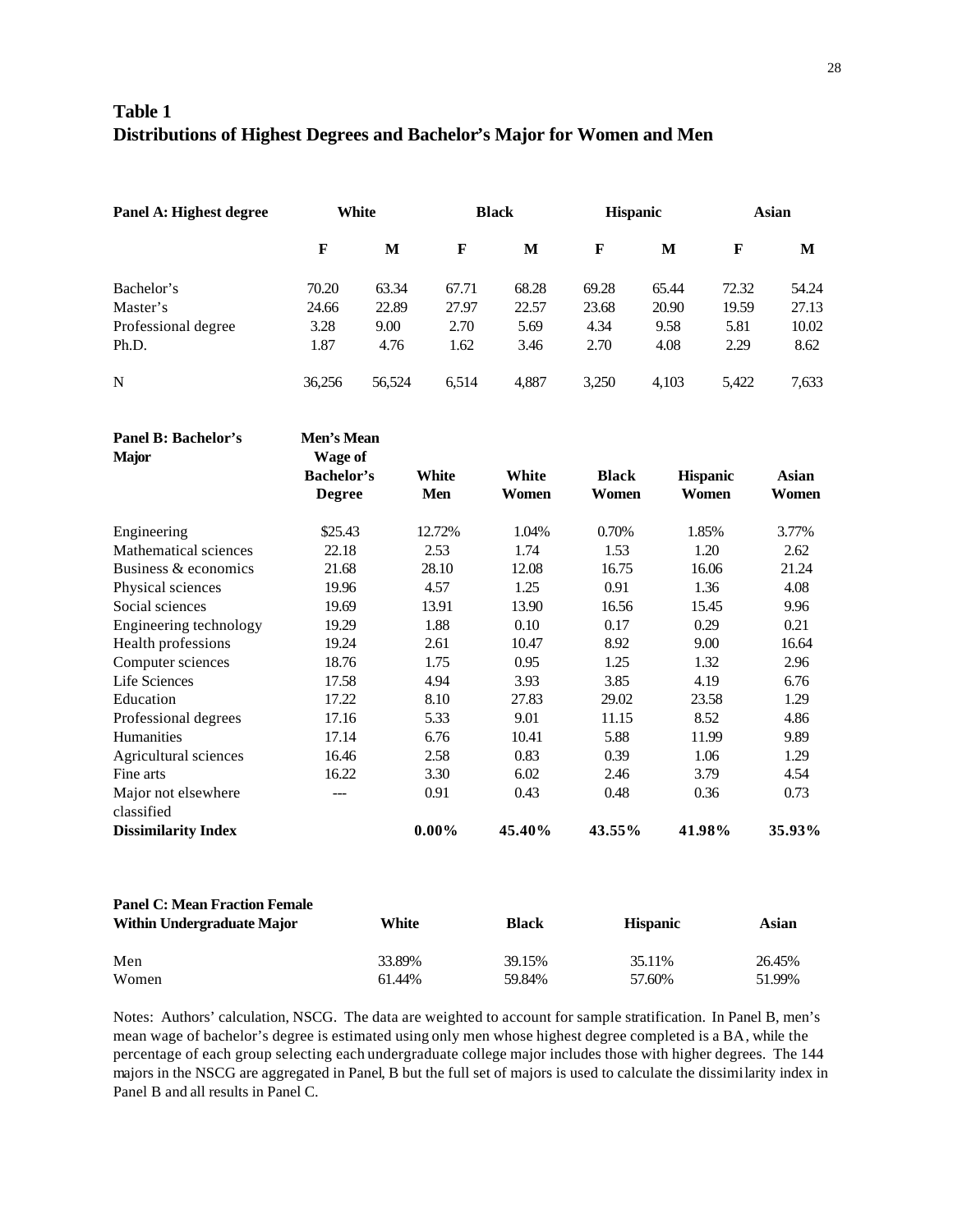## **Table 1 Distributions of Highest Degrees and Bachelor's Major for Women and Men**

| Panel A: Highest degree |        | White  |       | <b>Black</b> |       | <b>Hispanic</b> |       | Asian |
|-------------------------|--------|--------|-------|--------------|-------|-----------------|-------|-------|
|                         | F      | М      | F     | M            | F     | М               | F     | M     |
| Bachelor's              | 70.20  | 63.34  | 67.71 | 68.28        | 69.28 | 65.44           | 72.32 | 54.24 |
| Master's                | 24.66  | 22.89  | 27.97 | 22.57        | 23.68 | 20.90           | 19.59 | 27.13 |
| Professional degree     | 3.28   | 9.00   | 2.70  | 5.69         | 4.34  | 9.58            | 5.81  | 10.02 |
| Ph.D.                   | 1.87   | 4.76   | 1.62  | 3.46         | 2.70  | 4.08            | 2.29  | 8.62  |
| N                       | 36.256 | 56.524 | 6.514 | 4.887        | 3,250 | 4.103           | 5.422 | 7,633 |

| <b>Panel B: Bachelor's</b><br><b>Major</b> | Men's Mean<br>Wage of |          |        |              |                 |        |
|--------------------------------------------|-----------------------|----------|--------|--------------|-----------------|--------|
|                                            | <b>Bachelor's</b>     | White    | White  | <b>Black</b> | <b>Hispanic</b> | Asian  |
|                                            | <b>Degree</b>         | Men      | Women  | Women        | Women           | Women  |
| Engineering                                | \$25.43               | 12.72%   | 1.04%  | 0.70%        | 1.85%           | 3.77%  |
| Mathematical sciences                      | 22.18                 | 2.53     | 1.74   | 1.53         | 1.20            | 2.62   |
| Business & economics                       | 21.68                 | 28.10    | 12.08  | 16.75        | 16.06           | 21.24  |
| Physical sciences                          | 19.96                 | 4.57     | 1.25   | 0.91         | 1.36            | 4.08   |
| Social sciences                            | 19.69                 | 13.91    | 13.90  | 16.56        | 15.45           | 9.96   |
| Engineering technology                     | 19.29                 | 1.88     | 0.10   | 0.17         | 0.29            | 0.21   |
| Health professions                         | 19.24                 | 2.61     | 10.47  | 8.92         | 9.00            | 16.64  |
| Computer sciences                          | 18.76                 | 1.75     | 0.95   | 1.25         | 1.32            | 2.96   |
| <b>Life Sciences</b>                       | 17.58                 | 4.94     | 3.93   | 3.85         | 4.19            | 6.76   |
| Education                                  | 17.22                 | 8.10     | 27.83  | 29.02        | 23.58           | 1.29   |
| Professional degrees                       | 17.16                 | 5.33     | 9.01   | 11.15        | 8.52            | 4.86   |
| Humanities                                 | 17.14                 | 6.76     | 10.41  | 5.88         | 11.99           | 9.89   |
| Agricultural sciences                      | 16.46                 | 2.58     | 0.83   | 0.39         | 1.06            | 1.29   |
| Fine arts                                  | 16.22                 | 3.30     | 6.02   | 2.46         | 3.79            | 4.54   |
| Major not elsewhere<br>classified          | ---                   | 0.91     | 0.43   | 0.48         | 0.36            | 0.73   |
| <b>Dissimilarity Index</b>                 |                       | $0.00\%$ | 45.40% | 43.55%       | 41.98%          | 35.93% |

| <b>Panel C: Mean Fraction Female</b><br>Within Undergraduate Major | White  | <b>Black</b> | <b>Hispanic</b> | Asian  |
|--------------------------------------------------------------------|--------|--------------|-----------------|--------|
| Men                                                                | 33.89% | 39.15%       | 35.11%          | 26.45% |
| Women                                                              | 61.44% | 59.84%       | 57.60%          | 51.99% |

Notes: Authors' calculation, NSCG. The data are weighted to account for sample stratification. In Panel B, men's mean wage of bachelor's degree is estimated using only men whose highest degree completed is a BA, while the percentage of each group selecting each undergraduate college major includes those with higher degrees. The 144 majors in the NSCG are aggregated in Panel, B but the full set of majors is used to calculate the dissimilarity index in Panel B and all results in Panel C.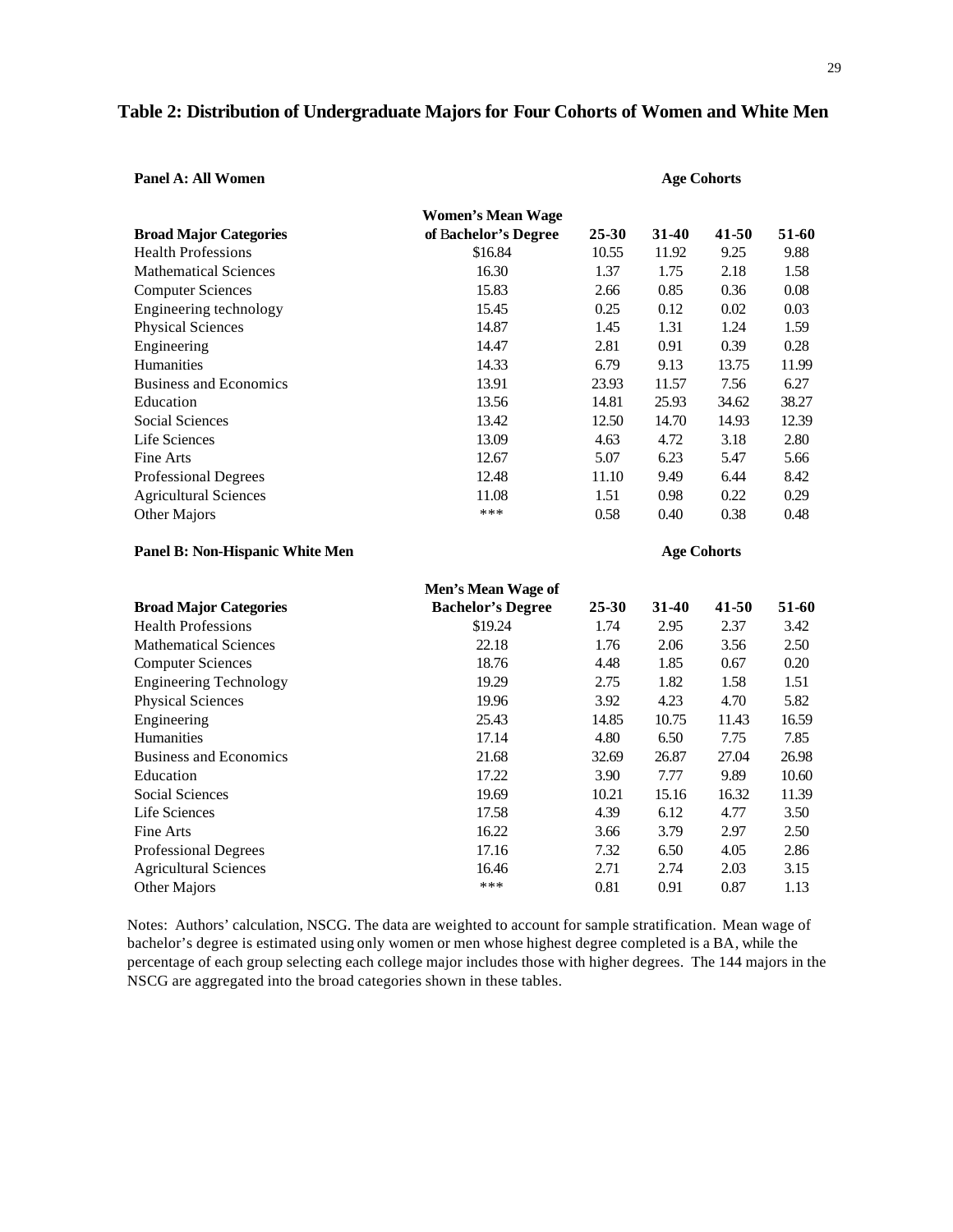#### **Table 2: Distribution of Undergraduate Majors for Four Cohorts of Women and White Men**

| Panel A: All Women              |                          |           |       | <b>Age Cohorts</b> |       |
|---------------------------------|--------------------------|-----------|-------|--------------------|-------|
|                                 | <b>Women's Mean Wage</b> |           |       |                    |       |
| <b>Broad Major Categories</b>   | of Bachelor's Degree     | 25-30     | 31-40 | $41 - 50$          | 51-60 |
| <b>Health Professions</b>       | \$16.84                  | 10.55     | 11.92 | 9.25               | 9.88  |
| <b>Mathematical Sciences</b>    | 16.30                    | 1.37      | 1.75  | 2.18               | 1.58  |
| <b>Computer Sciences</b>        | 15.83                    | 2.66      | 0.85  | 0.36               | 0.08  |
| Engineering technology          | 15.45                    | 0.25      | 0.12  | 0.02               | 0.03  |
| <b>Physical Sciences</b>        | 14.87                    | 1.45      | 1.31  | 1.24               | 1.59  |
| Engineering                     | 14.47                    | 2.81      | 0.91  | 0.39               | 0.28  |
| Humanities                      | 14.33                    | 6.79      | 9.13  | 13.75              | 11.99 |
| <b>Business and Economics</b>   | 13.91                    | 23.93     | 11.57 | 7.56               | 6.27  |
| Education                       | 13.56                    | 14.81     | 25.93 | 34.62              | 38.27 |
| <b>Social Sciences</b>          | 13.42                    | 12.50     | 14.70 | 14.93              | 12.39 |
| Life Sciences                   | 13.09                    | 4.63      | 4.72  | 3.18               | 2.80  |
| Fine Arts                       | 12.67                    | 5.07      | 6.23  | 5.47               | 5.66  |
| <b>Professional Degrees</b>     | 12.48                    | 11.10     | 9.49  | 6.44               | 8.42  |
| <b>Agricultural Sciences</b>    | 11.08                    | 1.51      | 0.98  | 0.22               | 0.29  |
| Other Majors                    | ***                      | 0.58      | 0.40  | 0.38               | 0.48  |
| Panel B: Non-Hispanic White Men |                          |           |       | <b>Age Cohorts</b> |       |
|                                 | Men's Mean Wage of       |           |       |                    |       |
| <b>Broad Major Categories</b>   | <b>Bachelor's Degree</b> | $25 - 30$ | 31-40 | $41 - 50$          | 51-60 |
| <b>Health Professions</b>       | \$19.24                  | 1.74      | 2.95  | 2.37               | 3.42  |
| <b>Mathematical Sciences</b>    | 22.18                    | 1.76      | 2.06  | 3.56               | 2.50  |
| <b>Computer Sciences</b>        | 18.76                    | 4.48      | 1.85  | 0.67               | 0.20  |
| <b>Engineering Technology</b>   | 19.29                    | 2.75      | 1.82  | 1.58               | 1.51  |
| <b>Physical Sciences</b>        | 19.96                    | 3.92      | 4.23  | 4.70               | 5.82  |
| Engineering                     | 25.43                    | 14.85     | 10.75 | 11.43              | 16.59 |
| Humanities                      | 17.14                    | 4.80      | 6.50  | 7.75               | 7.85  |
| <b>Business and Economics</b>   | 21.68                    | 32.69     | 26.87 | 27.04              | 26.98 |
| Education                       | 17.22                    | 3.90      | 7.77  | 9.89               | 10.60 |
| <b>Social Sciences</b>          | 19.69                    | 10.21     | 15.16 | 16.32              | 11.39 |
| Life Sciences                   | 17.58                    | 4.39      | 6.12  | 4.77               | 3.50  |
| Fine Arts                       | 16.22                    | 3.66      | 3.79  | 2.97               | 2.50  |
| Professional Degrees            | 17.16                    | 7.32      | 6.50  | 4.05               | 2.86  |
| <b>Agricultural Sciences</b>    | 16.46                    | 2.71      | 2.74  | 2.03               | 3.15  |
| Other Majors                    | ***                      | 0.81      | 0.91  | 0.87               | 1.13  |

Notes: Authors' calculation, NSCG. The data are weighted to account for sample stratification. Mean wage of bachelor's degree is estimated using only women or men whose highest degree completed is a BA, while the percentage of each group selecting each college major includes those with higher degrees. The 144 majors in the NSCG are aggregated into the broad categories shown in these tables.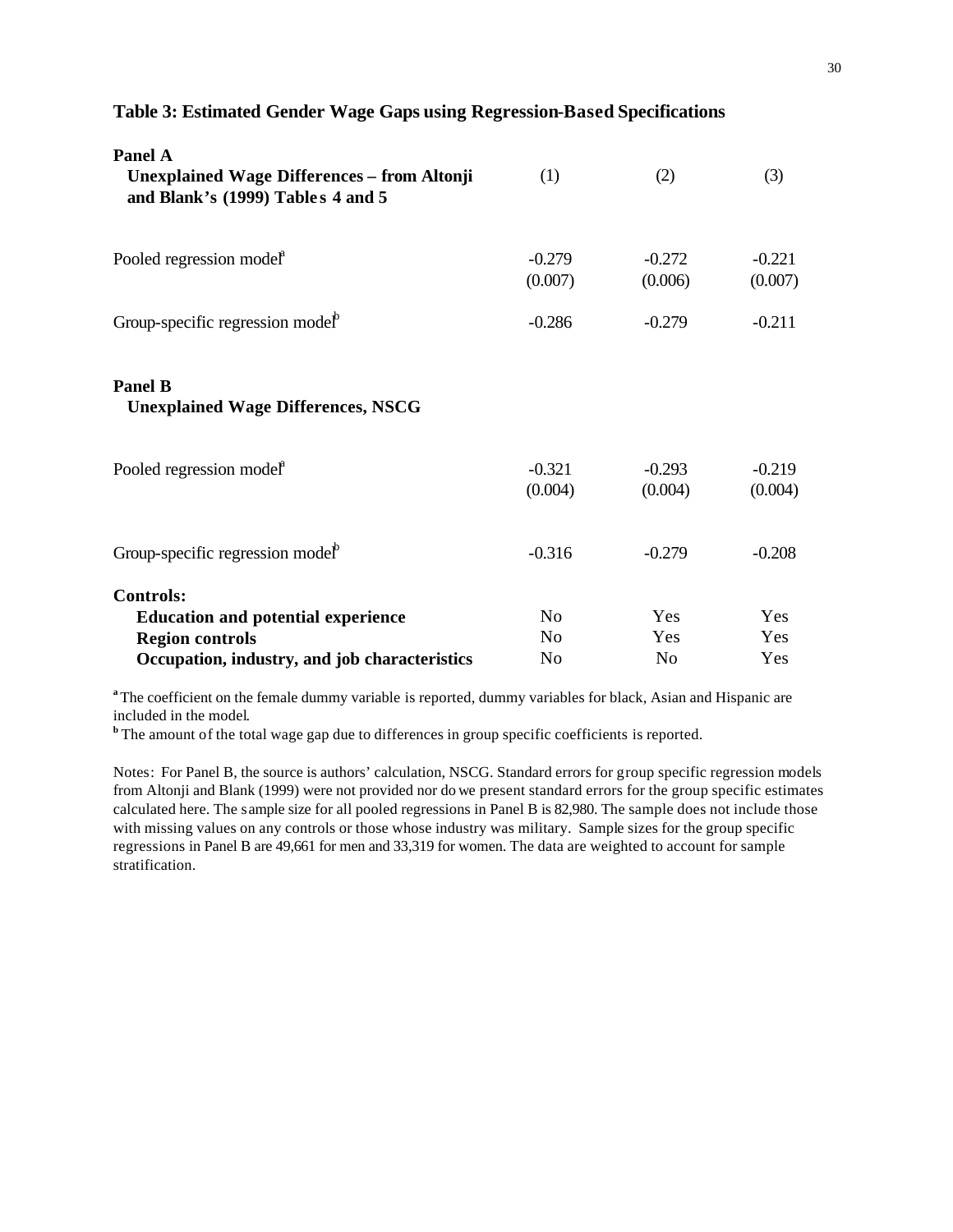| (1)                              | (2)                 | (3)                 |
|----------------------------------|---------------------|---------------------|
| $-0.279$<br>(0.007)              | $-0.272$<br>(0.006) | $-0.221$<br>(0.007) |
| $-0.286$                         | $-0.279$            | $-0.211$            |
|                                  |                     |                     |
| $-0.321$<br>(0.004)              | $-0.293$<br>(0.004) | $-0.219$<br>(0.004) |
| $-0.316$                         | $-0.279$            | $-0.208$            |
| N <sub>o</sub><br>N <sub>0</sub> | Yes<br><b>Yes</b>   | Yes<br>Yes<br>Yes   |
|                                  | N <sub>0</sub>      | N <sub>o</sub>      |

## **Table 3: Estimated Gender Wage Gaps using Regression-Based Specifications**

<sup>a</sup>The coefficient on the female dummy variable is reported, dummy variables for black, Asian and Hispanic are included in the model.

<sup>b</sup> The amount of the total wage gap due to differences in group specific coefficients is reported.

Notes: For Panel B, the source is authors' calculation, NSCG. Standard errors for group specific regression models from Altonji and Blank (1999) were not provided nor do we present standard errors for the group specific estimates calculated here. The sample size for all pooled regressions in Panel B is 82,980. The sample does not include those with missing values on any controls or those whose industry was military. Sample sizes for the group specific regressions in Panel B are 49,661 for men and 33,319 for women. The data are weighted to account for sample stratification.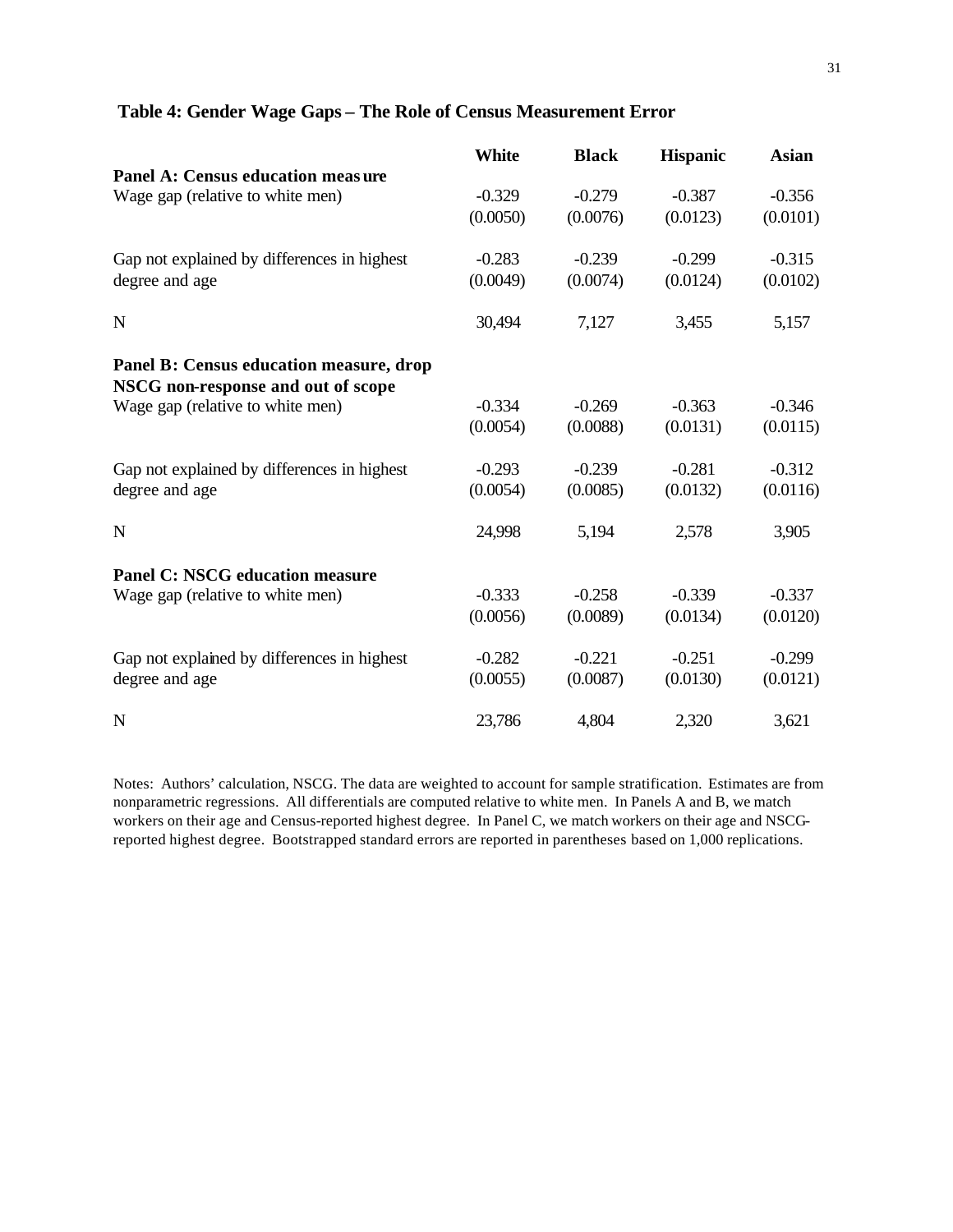|                                                                               | <b>White</b> | <b>Black</b> | <b>Hispanic</b> | <b>Asian</b> |
|-------------------------------------------------------------------------------|--------------|--------------|-----------------|--------------|
| Panel A: Census education meas ure                                            |              |              |                 |              |
| Wage gap (relative to white men)                                              | $-0.329$     | $-0.279$     | $-0.387$        | $-0.356$     |
|                                                                               | (0.0050)     | (0.0076)     | (0.0123)        | (0.0101)     |
| Gap not explained by differences in highest                                   | $-0.283$     | $-0.239$     | $-0.299$        | $-0.315$     |
| degree and age                                                                | (0.0049)     | (0.0074)     | (0.0124)        | (0.0102)     |
| N                                                                             | 30,494       | 7,127        | 3,455           | 5,157        |
| Panel B: Census education measure, drop<br>NSCG non-response and out of scope |              |              |                 |              |
| Wage gap (relative to white men)                                              | $-0.334$     | $-0.269$     | $-0.363$        | $-0.346$     |
|                                                                               | (0.0054)     | (0.0088)     | (0.0131)        | (0.0115)     |
| Gap not explained by differences in highest                                   | $-0.293$     | $-0.239$     | $-0.281$        | $-0.312$     |
| degree and age                                                                | (0.0054)     | (0.0085)     | (0.0132)        | (0.0116)     |
| N                                                                             | 24,998       | 5,194        | 2,578           | 3,905        |
| <b>Panel C: NSCG education measure</b>                                        |              |              |                 |              |
| Wage gap (relative to white men)                                              | $-0.333$     | $-0.258$     | $-0.339$        | $-0.337$     |
|                                                                               | (0.0056)     | (0.0089)     | (0.0134)        | (0.0120)     |
| Gap not explained by differences in highest                                   | $-0.282$     | $-0.221$     | $-0.251$        | $-0.299$     |
| degree and age                                                                | (0.0055)     | (0.0087)     | (0.0130)        | (0.0121)     |
| N                                                                             | 23,786       | 4,804        | 2,320           | 3,621        |

#### **Table 4: Gender Wage Gaps – The Role of Census Measurement Error**

Notes: Authors' calculation, NSCG. The data are weighted to account for sample stratification. Estimates are from nonparametric regressions. All differentials are computed relative to white men. In Panels A and B, we match workers on their age and Census-reported highest degree. In Panel C, we match workers on their age and NSCGreported highest degree. Bootstrapped standard errors are reported in parentheses based on 1,000 replications.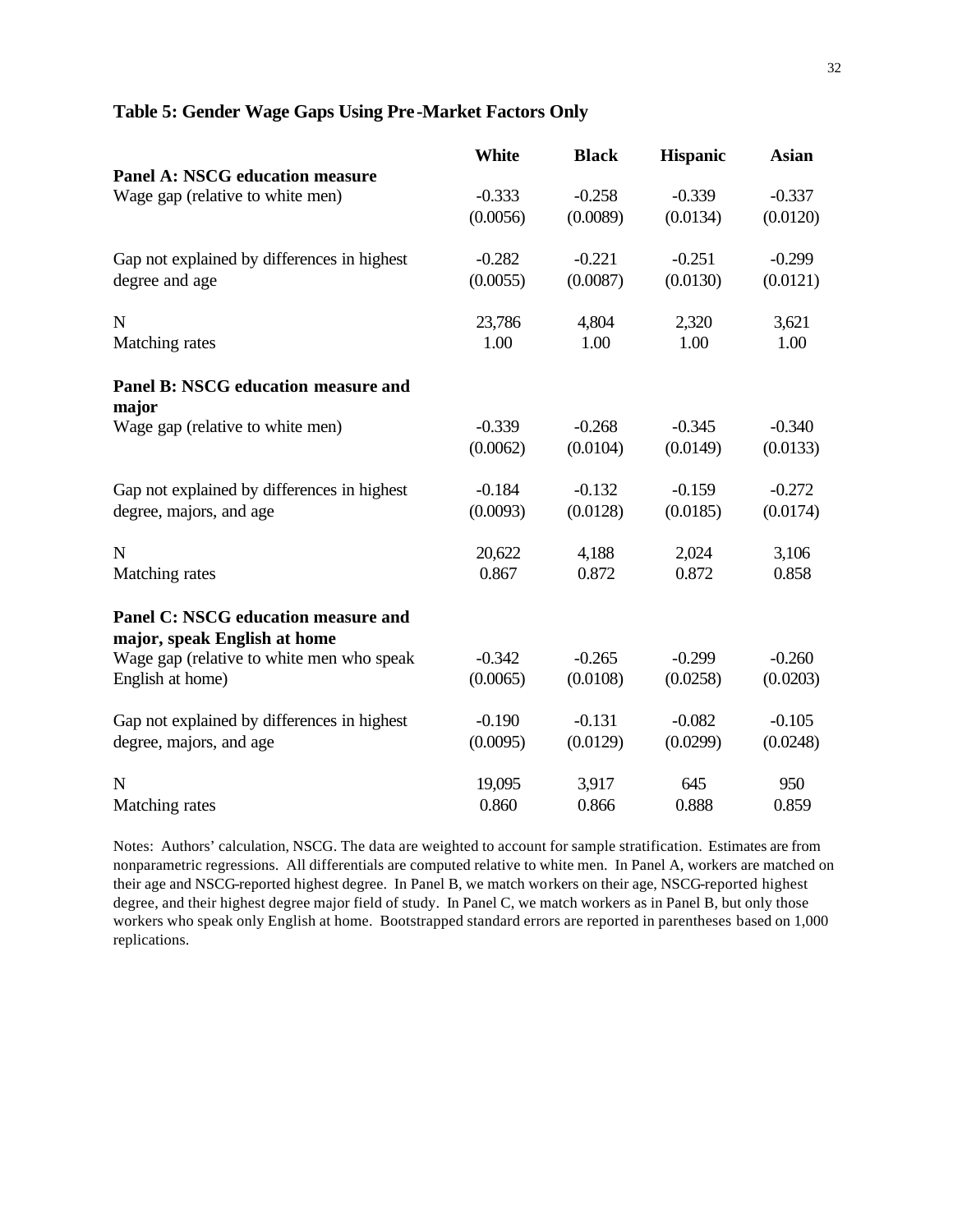#### **Table 5: Gender Wage Gaps Using Pre-Market Factors Only**

|                                             | <b>White</b> | <b>Black</b> | <b>Hispanic</b> | <b>Asian</b> |
|---------------------------------------------|--------------|--------------|-----------------|--------------|
| <b>Panel A: NSCG education measure</b>      |              |              |                 |              |
| Wage gap (relative to white men)            | $-0.333$     | $-0.258$     | $-0.339$        | $-0.337$     |
|                                             | (0.0056)     | (0.0089)     | (0.0134)        | (0.0120)     |
| Gap not explained by differences in highest | $-0.282$     | $-0.221$     | $-0.251$        | $-0.299$     |
| degree and age                              | (0.0055)     | (0.0087)     | (0.0130)        | (0.0121)     |
| $\mathbf N$                                 | 23,786       | 4,804        | 2,320           | 3,621        |
| Matching rates                              | 1.00         | 1.00         | 1.00            | 1.00         |
| Panel B: NSCG education measure and         |              |              |                 |              |
| major                                       |              |              |                 |              |
| Wage gap (relative to white men)            | $-0.339$     | $-0.268$     | $-0.345$        | $-0.340$     |
|                                             | (0.0062)     | (0.0104)     | (0.0149)        | (0.0133)     |
| Gap not explained by differences in highest | $-0.184$     | $-0.132$     | $-0.159$        | $-0.272$     |
| degree, majors, and age                     | (0.0093)     | (0.0128)     | (0.0185)        | (0.0174)     |
| N                                           | 20,622       | 4,188        | 2,024           | 3,106        |
| Matching rates                              | 0.867        | 0.872        | 0.872           | 0.858        |
| Panel C: NSCG education measure and         |              |              |                 |              |
| major, speak English at home                |              |              |                 |              |
| Wage gap (relative to white men who speak   | $-0.342$     | $-0.265$     | $-0.299$        | $-0.260$     |
| English at home)                            | (0.0065)     | (0.0108)     | (0.0258)        | (0.0203)     |
| Gap not explained by differences in highest | $-0.190$     | $-0.131$     | $-0.082$        | $-0.105$     |
| degree, majors, and age                     | (0.0095)     | (0.0129)     | (0.0299)        | (0.0248)     |
| N                                           | 19,095       | 3,917        | 645             | 950          |
| Matching rates                              | 0.860        | 0.866        | 0.888           | 0.859        |

Notes: Authors' calculation, NSCG. The data are weighted to account for sample stratification. Estimates are from nonparametric regressions. All differentials are computed relative to white men. In Panel A, workers are matched on their age and NSCG-reported highest degree. In Panel B, we match workers on their age, NSCG-reported highest degree, and their highest degree major field of study. In Panel C, we match workers as in Panel B, but only those workers who speak only English at home. Bootstrapped standard errors are reported in parentheses based on 1,000 replications.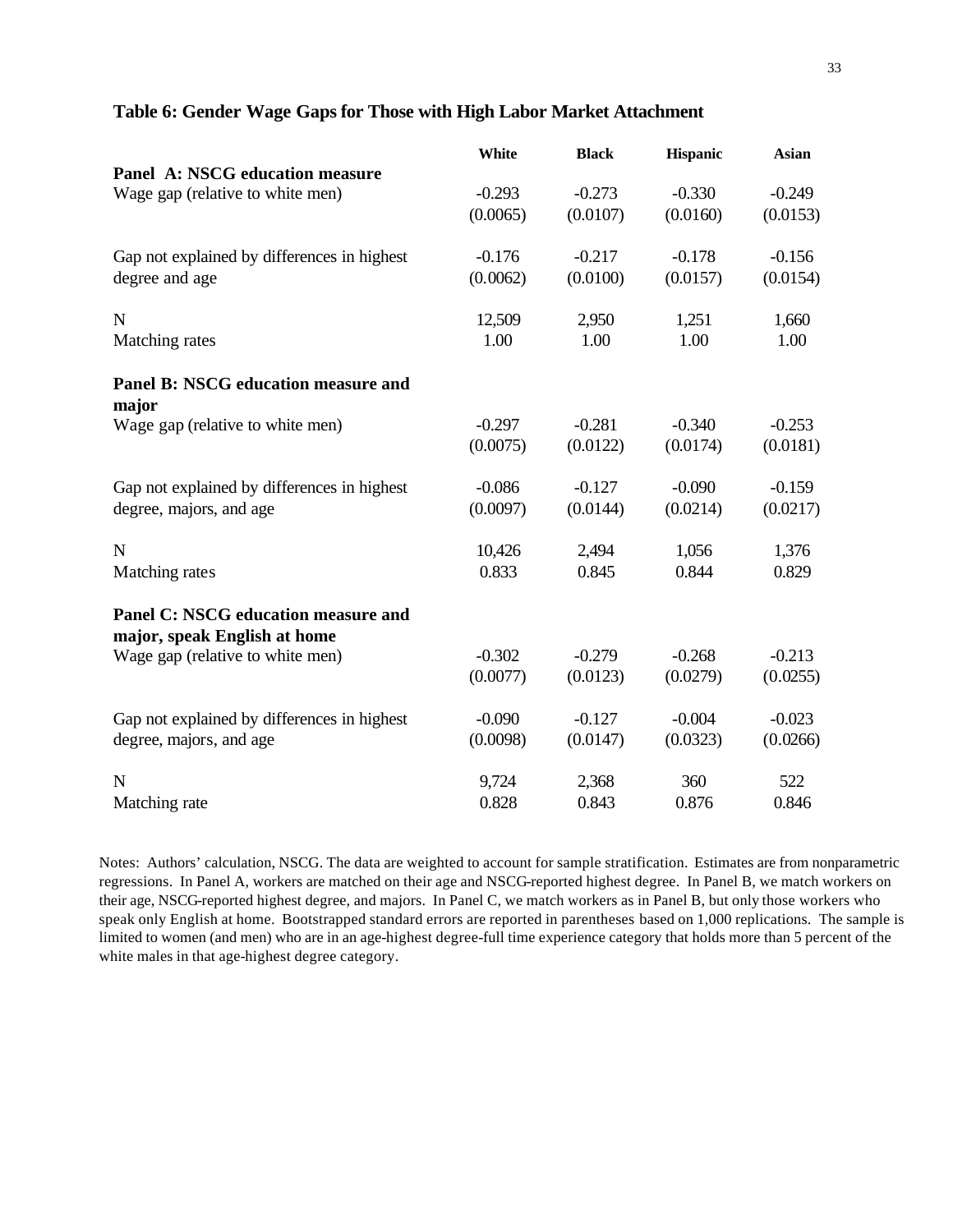|                                                                     | White    | <b>Black</b> | Hispanic | <b>Asian</b> |
|---------------------------------------------------------------------|----------|--------------|----------|--------------|
| Panel A: NSCG education measure                                     |          |              |          |              |
| Wage gap (relative to white men)                                    | $-0.293$ | $-0.273$     | $-0.330$ | $-0.249$     |
|                                                                     | (0.0065) | (0.0107)     | (0.0160) | (0.0153)     |
| Gap not explained by differences in highest                         | $-0.176$ | $-0.217$     | $-0.178$ | $-0.156$     |
| degree and age                                                      | (0.0062) | (0.0100)     | (0.0157) | (0.0154)     |
| N                                                                   | 12,509   | 2,950        | 1,251    | 1,660        |
| Matching rates                                                      | 1.00     | 1.00         | 1.00     | 1.00         |
| Panel B: NSCG education measure and                                 |          |              |          |              |
| major                                                               | $-0.297$ | $-0.281$     | $-0.340$ | $-0.253$     |
| Wage gap (relative to white men)                                    |          |              |          |              |
|                                                                     | (0.0075) | (0.0122)     | (0.0174) | (0.0181)     |
| Gap not explained by differences in highest                         | $-0.086$ | $-0.127$     | $-0.090$ | $-0.159$     |
| degree, majors, and age                                             | (0.0097) | (0.0144)     | (0.0214) | (0.0217)     |
| N                                                                   | 10,426   | 2,494        | 1,056    | 1,376        |
| Matching rates                                                      | 0.833    | 0.845        | 0.844    | 0.829        |
| Panel C: NSCG education measure and<br>major, speak English at home |          |              |          |              |
| Wage gap (relative to white men)                                    | $-0.302$ | $-0.279$     | $-0.268$ | $-0.213$     |
|                                                                     | (0.0077) | (0.0123)     | (0.0279) | (0.0255)     |
|                                                                     |          |              |          |              |
| Gap not explained by differences in highest                         | $-0.090$ | $-0.127$     | $-0.004$ | $-0.023$     |
| degree, majors, and age                                             | (0.0098) | (0.0147)     | (0.0323) | (0.0266)     |
| N                                                                   | 9,724    | 2,368        | 360      | 522          |
| Matching rate                                                       | 0.828    | 0.843        | 0.876    | 0.846        |

#### **Table 6: Gender Wage Gaps for Those with High Labor Market Attachment**

Notes: Authors' calculation, NSCG. The data are weighted to account for sample stratification. Estimates are from nonparametric regressions. In Panel A, workers are matched on their age and NSCG-reported highest degree. In Panel B, we match workers on their age, NSCG-reported highest degree, and majors. In Panel C, we match workers as in Panel B, but only those workers who speak only English at home. Bootstrapped standard errors are reported in parentheses based on 1,000 replications. The sample is limited to women (and men) who are in an age-highest degree-full time experience category that holds more than 5 percent of the white males in that age-highest degree category.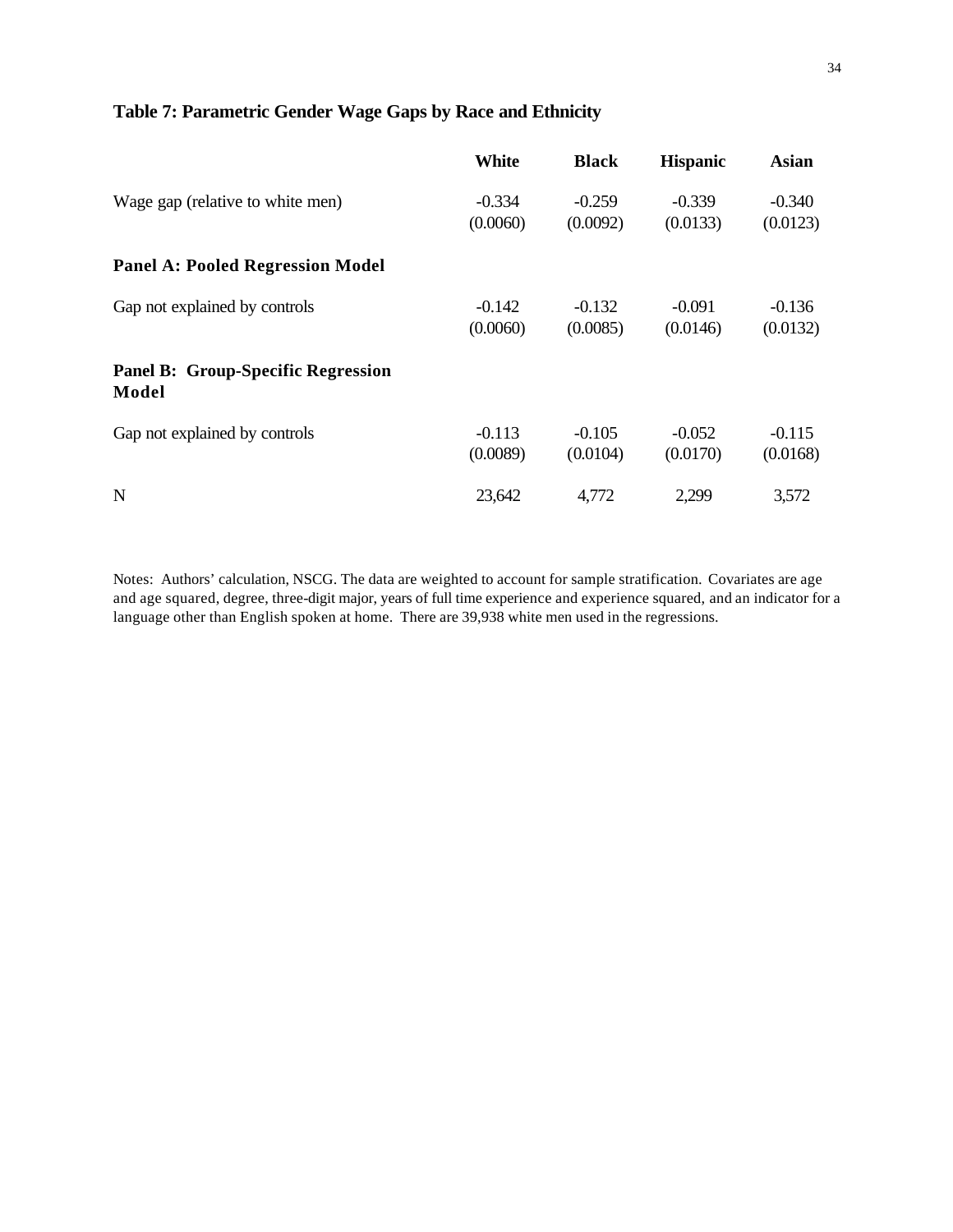## **Table 7: Parametric Gender Wage Gaps by Race and Ethnicity**

|                                                    | <b>White</b>         | <b>Black</b>         | <b>Hispanic</b>      | <b>Asian</b>         |
|----------------------------------------------------|----------------------|----------------------|----------------------|----------------------|
| Wage gap (relative to white men)                   | $-0.334$<br>(0.0060) | $-0.259$<br>(0.0092) | $-0.339$<br>(0.0133) | $-0.340$<br>(0.0123) |
| <b>Panel A: Pooled Regression Model</b>            |                      |                      |                      |                      |
| Gap not explained by controls                      | $-0.142$<br>(0.0060) | $-0.132$<br>(0.0085) | $-0.091$<br>(0.0146) | $-0.136$<br>(0.0132) |
| <b>Panel B: Group-Specific Regression</b><br>Model |                      |                      |                      |                      |
| Gap not explained by controls                      | $-0.113$<br>(0.0089) | $-0.105$<br>(0.0104) | $-0.052$<br>(0.0170) | $-0.115$<br>(0.0168) |
| N                                                  | 23,642               | 4,772                | 2,299                | 3,572                |

Notes: Authors' calculation, NSCG. The data are weighted to account for sample stratification. Covariates are age and age squared, degree, three-digit major, years of full time experience and experience squared, and an indicator for a language other than English spoken at home. There are 39,938 white men used in the regressions.